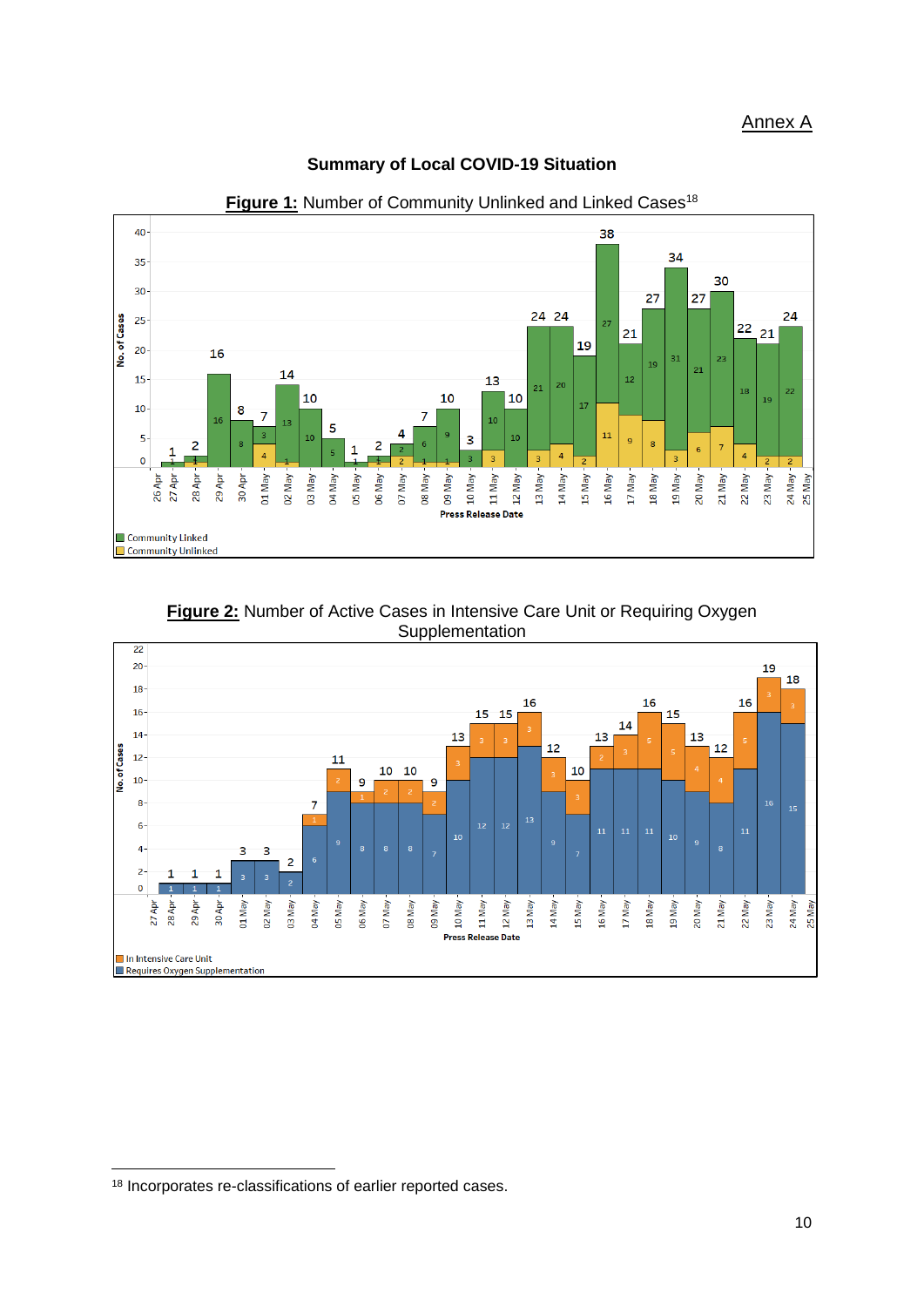### Annex A



#### **Summary of Local COVID-19 Situation**



## Figure 1: Number of Community Unlinked and Linked Cases<sup>18</sup>

**Figure 2:** Number of Active Cases in Intensive Care Unit or Requiring Oxygen Supplementation

**.** 

<sup>18</sup> Incorporates re-classifications of earlier reported cases.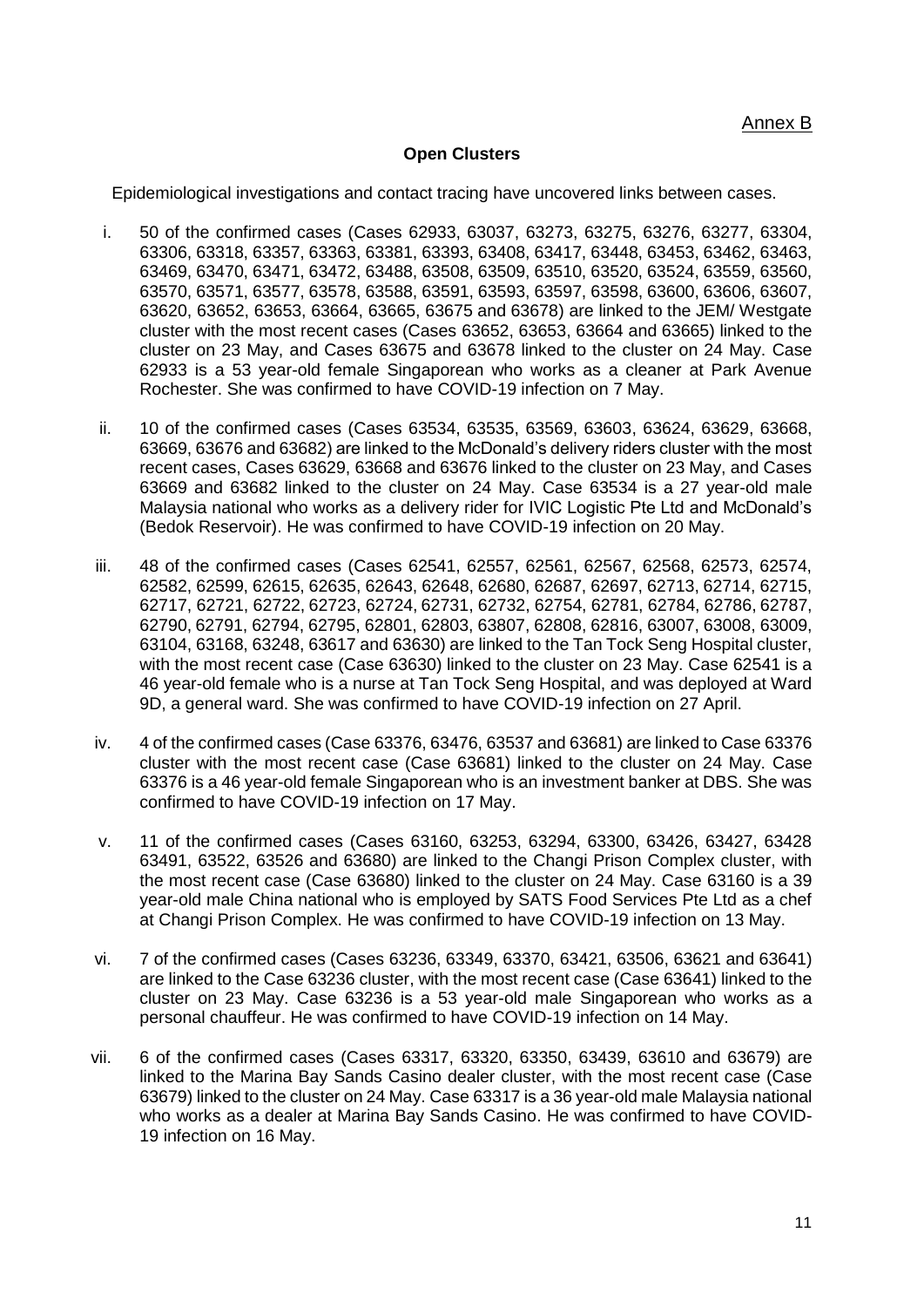#### **Open Clusters**

Epidemiological investigations and contact tracing have uncovered links between cases.

- i. 50 of the confirmed cases (Cases 62933, 63037, 63273, 63275, 63276, 63277, 63304, 63306, 63318, 63357, 63363, 63381, 63393, 63408, 63417, 63448, 63453, 63462, 63463, 63469, 63470, 63471, 63472, 63488, 63508, 63509, 63510, 63520, 63524, 63559, 63560, 63570, 63571, 63577, 63578, 63588, 63591, 63593, 63597, 63598, 63600, 63606, 63607, 63620, 63652, 63653, 63664, 63665, 63675 and 63678) are linked to the JEM/ Westgate cluster with the most recent cases (Cases 63652, 63653, 63664 and 63665) linked to the cluster on 23 May, and Cases 63675 and 63678 linked to the cluster on 24 May. Case 62933 is a 53 year-old female Singaporean who works as a cleaner at Park Avenue Rochester. She was confirmed to have COVID-19 infection on 7 May.
- ii. 10 of the confirmed cases (Cases 63534, 63535, 63569, 63603, 63624, 63629, 63668, 63669, 63676 and 63682) are linked to the McDonald's delivery riders cluster with the most recent cases, Cases 63629, 63668 and 63676 linked to the cluster on 23 May, and Cases 63669 and 63682 linked to the cluster on 24 May. Case 63534 is a 27 year-old male Malaysia national who works as a delivery rider for IVIC Logistic Pte Ltd and McDonald's (Bedok Reservoir). He was confirmed to have COVID-19 infection on 20 May.
- iii. 48 of the confirmed cases (Cases 62541, 62557, 62561, 62567, 62568, 62573, 62574, 62582, 62599, 62615, 62635, 62643, 62648, 62680, 62687, 62697, 62713, 62714, 62715, 62717, 62721, 62722, 62723, 62724, 62731, 62732, 62754, 62781, 62784, 62786, 62787, 62790, 62791, 62794, 62795, 62801, 62803, 63807, 62808, 62816, 63007, 63008, 63009, 63104, 63168, 63248, 63617 and 63630) are linked to the Tan Tock Seng Hospital cluster, with the most recent case (Case 63630) linked to the cluster on 23 May. Case 62541 is a 46 year-old female who is a nurse at Tan Tock Seng Hospital, and was deployed at Ward 9D, a general ward. She was confirmed to have COVID-19 infection on 27 April.
- iv. 4 of the confirmed cases (Case 63376, 63476, 63537 and 63681) are linked to Case 63376 cluster with the most recent case (Case 63681) linked to the cluster on 24 May. Case 63376 is a 46 year-old female Singaporean who is an investment banker at DBS. She was confirmed to have COVID-19 infection on 17 May.
- v. 11 of the confirmed cases (Cases 63160, 63253, 63294, 63300, 63426, 63427, 63428 63491, 63522, 63526 and 63680) are linked to the Changi Prison Complex cluster, with the most recent case (Case 63680) linked to the cluster on 24 May. Case 63160 is a 39 year-old male China national who is employed by SATS Food Services Pte Ltd as a chef at Changi Prison Complex. He was confirmed to have COVID-19 infection on 13 May.
- vi. 7 of the confirmed cases (Cases 63236, 63349, 63370, 63421, 63506, 63621 and 63641) are linked to the Case 63236 cluster, with the most recent case (Case 63641) linked to the cluster on 23 May. Case 63236 is a 53 year-old male Singaporean who works as a personal chauffeur. He was confirmed to have COVID-19 infection on 14 May.
- vii. 6 of the confirmed cases (Cases 63317, 63320, 63350, 63439, 63610 and 63679) are linked to the Marina Bay Sands Casino dealer cluster, with the most recent case (Case 63679) linked to the cluster on 24 May. Case 63317 is a 36 year-old male Malaysia national who works as a dealer at Marina Bay Sands Casino. He was confirmed to have COVID-19 infection on 16 May.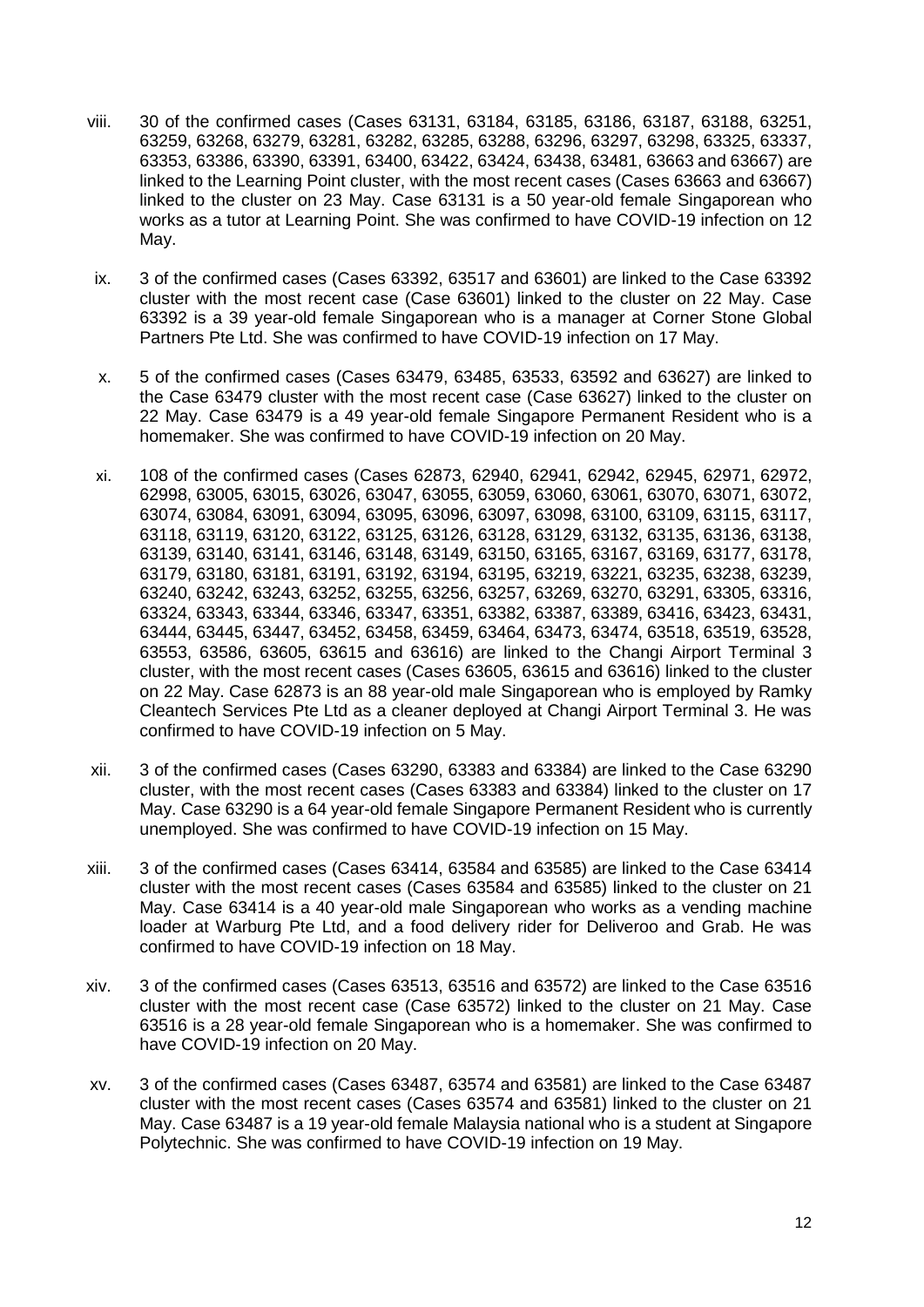- viii. 30 of the confirmed cases (Cases 63131, 63184, 63185, 63186, 63187, 63188, 63251, 63259, 63268, 63279, 63281, 63282, 63285, 63288, 63296, 63297, 63298, 63325, 63337, 63353, 63386, 63390, 63391, 63400, 63422, 63424, 63438, 63481, 63663 and 63667) are linked to the Learning Point cluster, with the most recent cases (Cases 63663 and 63667) linked to the cluster on 23 May. Case 63131 is a 50 year-old female Singaporean who works as a tutor at Learning Point. She was confirmed to have COVID-19 infection on 12 May.
- ix. 3 of the confirmed cases (Cases 63392, 63517 and 63601) are linked to the Case 63392 cluster with the most recent case (Case 63601) linked to the cluster on 22 May. Case 63392 is a 39 year-old female Singaporean who is a manager at Corner Stone Global Partners Pte Ltd. She was confirmed to have COVID-19 infection on 17 May.
- x. 5 of the confirmed cases (Cases 63479, 63485, 63533, 63592 and 63627) are linked to the Case 63479 cluster with the most recent case (Case 63627) linked to the cluster on 22 May. Case 63479 is a 49 year-old female Singapore Permanent Resident who is a homemaker. She was confirmed to have COVID-19 infection on 20 May.
- xi. 108 of the confirmed cases (Cases 62873, 62940, 62941, 62942, 62945, 62971, 62972, 62998, 63005, 63015, 63026, 63047, 63055, 63059, 63060, 63061, 63070, 63071, 63072, 63074, 63084, 63091, 63094, 63095, 63096, 63097, 63098, 63100, 63109, 63115, 63117, 63118, 63119, 63120, 63122, 63125, 63126, 63128, 63129, 63132, 63135, 63136, 63138, 63139, 63140, 63141, 63146, 63148, 63149, 63150, 63165, 63167, 63169, 63177, 63178, 63179, 63180, 63181, 63191, 63192, 63194, 63195, 63219, 63221, 63235, 63238, 63239, 63240, 63242, 63243, 63252, 63255, 63256, 63257, 63269, 63270, 63291, 63305, 63316, 63324, 63343, 63344, 63346, 63347, 63351, 63382, 63387, 63389, 63416, 63423, 63431, 63444, 63445, 63447, 63452, 63458, 63459, 63464, 63473, 63474, 63518, 63519, 63528, 63553, 63586, 63605, 63615 and 63616) are linked to the Changi Airport Terminal 3 cluster, with the most recent cases (Cases 63605, 63615 and 63616) linked to the cluster on 22 May. Case 62873 is an 88 year-old male Singaporean who is employed by Ramky Cleantech Services Pte Ltd as a cleaner deployed at Changi Airport Terminal 3. He was confirmed to have COVID-19 infection on 5 May.
- xii. 3 of the confirmed cases (Cases 63290, 63383 and 63384) are linked to the Case 63290 cluster, with the most recent cases (Cases 63383 and 63384) linked to the cluster on 17 May. Case 63290 is a 64 year-old female Singapore Permanent Resident who is currently unemployed. She was confirmed to have COVID-19 infection on 15 May.
- xiii. 3 of the confirmed cases (Cases 63414, 63584 and 63585) are linked to the Case 63414 cluster with the most recent cases (Cases 63584 and 63585) linked to the cluster on 21 May. Case 63414 is a 40 year-old male Singaporean who works as a vending machine loader at Warburg Pte Ltd, and a food delivery rider for Deliveroo and Grab. He was confirmed to have COVID-19 infection on 18 May.
- xiv. 3 of the confirmed cases (Cases 63513, 63516 and 63572) are linked to the Case 63516 cluster with the most recent case (Case 63572) linked to the cluster on 21 May. Case 63516 is a 28 year-old female Singaporean who is a homemaker. She was confirmed to have COVID-19 infection on 20 May.
- xv. 3 of the confirmed cases (Cases 63487, 63574 and 63581) are linked to the Case 63487 cluster with the most recent cases (Cases 63574 and 63581) linked to the cluster on 21 May. Case 63487 is a 19 year-old female Malaysia national who is a student at Singapore Polytechnic. She was confirmed to have COVID-19 infection on 19 May.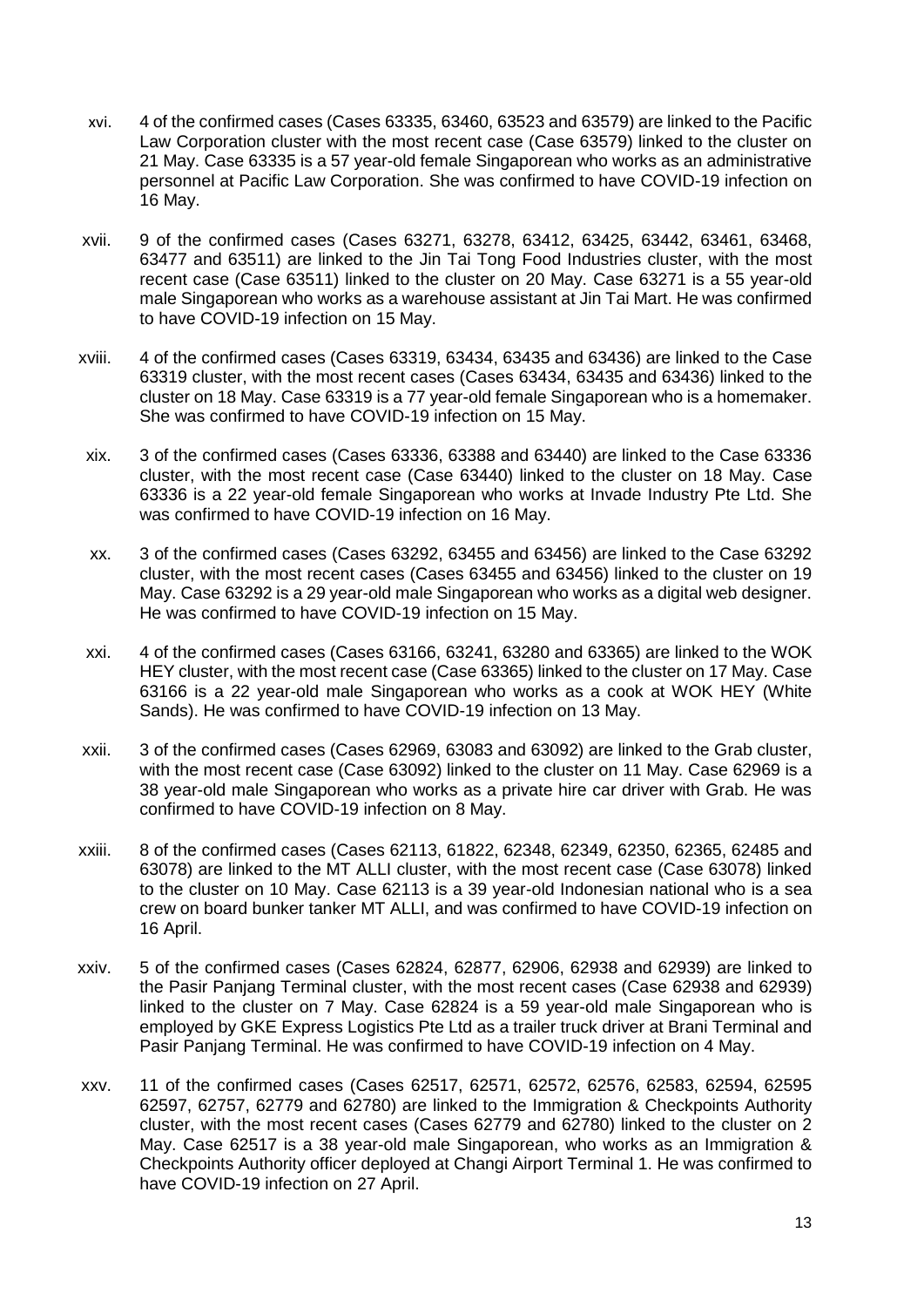- xvi. 4 of the confirmed cases (Cases 63335, 63460, 63523 and 63579) are linked to the Pacific Law Corporation cluster with the most recent case (Case 63579) linked to the cluster on 21 May. Case 63335 is a 57 year-old female Singaporean who works as an administrative personnel at Pacific Law Corporation. She was confirmed to have COVID-19 infection on 16 May.
- xvii. 9 of the confirmed cases (Cases 63271, 63278, 63412, 63425, 63442, 63461, 63468, 63477 and 63511) are linked to the Jin Tai Tong Food Industries cluster, with the most recent case (Case 63511) linked to the cluster on 20 May. Case 63271 is a 55 year-old male Singaporean who works as a warehouse assistant at Jin Tai Mart. He was confirmed to have COVID-19 infection on 15 May.
- xviii. 4 of the confirmed cases (Cases 63319, 63434, 63435 and 63436) are linked to the Case 63319 cluster, with the most recent cases (Cases 63434, 63435 and 63436) linked to the cluster on 18 May. Case 63319 is a 77 year-old female Singaporean who is a homemaker. She was confirmed to have COVID-19 infection on 15 May.
- xix. 3 of the confirmed cases (Cases 63336, 63388 and 63440) are linked to the Case 63336 cluster, with the most recent case (Case 63440) linked to the cluster on 18 May. Case 63336 is a 22 year-old female Singaporean who works at Invade Industry Pte Ltd. She was confirmed to have COVID-19 infection on 16 May.
- xx. 3 of the confirmed cases (Cases 63292, 63455 and 63456) are linked to the Case 63292 cluster, with the most recent cases (Cases 63455 and 63456) linked to the cluster on 19 May. Case 63292 is a 29 year-old male Singaporean who works as a digital web designer. He was confirmed to have COVID-19 infection on 15 May.
- xxi. 4 of the confirmed cases (Cases 63166, 63241, 63280 and 63365) are linked to the WOK HEY cluster, with the most recent case (Case 63365) linked to the cluster on 17 May. Case 63166 is a 22 year-old male Singaporean who works as a cook at WOK HEY (White Sands). He was confirmed to have COVID-19 infection on 13 May.
- xxii. 3 of the confirmed cases (Cases 62969, 63083 and 63092) are linked to the Grab cluster, with the most recent case (Case 63092) linked to the cluster on 11 May. Case 62969 is a 38 year-old male Singaporean who works as a private hire car driver with Grab. He was confirmed to have COVID-19 infection on 8 May.
- xxiii. 8 of the confirmed cases (Cases 62113, 61822, 62348, 62349, 62350, 62365, 62485 and 63078) are linked to the MT ALLI cluster, with the most recent case (Case 63078) linked to the cluster on 10 May. Case 62113 is a 39 year-old Indonesian national who is a sea crew on board bunker tanker MT ALLI, and was confirmed to have COVID-19 infection on 16 April.
- xxiv. 5 of the confirmed cases (Cases 62824, 62877, 62906, 62938 and 62939) are linked to the Pasir Panjang Terminal cluster, with the most recent cases (Case 62938 and 62939) linked to the cluster on 7 May. Case 62824 is a 59 year-old male Singaporean who is employed by GKE Express Logistics Pte Ltd as a trailer truck driver at Brani Terminal and Pasir Panjang Terminal. He was confirmed to have COVID-19 infection on 4 May.
- xxv. 11 of the confirmed cases (Cases 62517, 62571, 62572, 62576, 62583, 62594, 62595 62597, 62757, 62779 and 62780) are linked to the Immigration & Checkpoints Authority cluster, with the most recent cases (Cases 62779 and 62780) linked to the cluster on 2 May. Case 62517 is a 38 year-old male Singaporean, who works as an Immigration & Checkpoints Authority officer deployed at Changi Airport Terminal 1. He was confirmed to have COVID-19 infection on 27 April.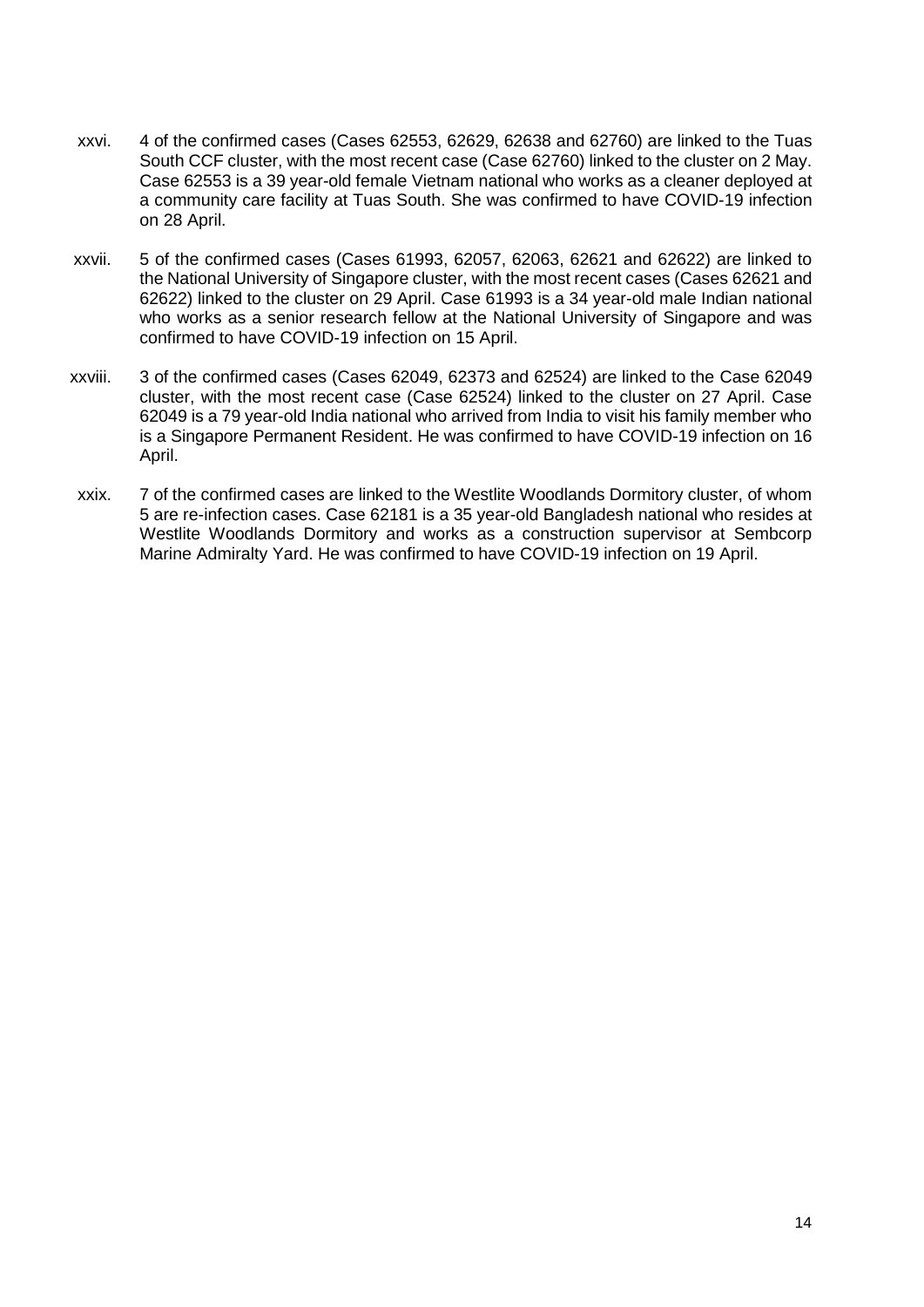- xxvi. 4 of the confirmed cases (Cases 62553, 62629, 62638 and 62760) are linked to the Tuas South CCF cluster, with the most recent case (Case 62760) linked to the cluster on 2 May. Case 62553 is a 39 year-old female Vietnam national who works as a cleaner deployed at a community care facility at Tuas South. She was confirmed to have COVID-19 infection on 28 April.
- xxvii. 5 of the confirmed cases (Cases 61993, 62057, 62063, 62621 and 62622) are linked to the National University of Singapore cluster, with the most recent cases (Cases 62621 and 62622) linked to the cluster on 29 April. Case 61993 is a 34 year-old male Indian national who works as a senior research fellow at the National University of Singapore and was confirmed to have COVID-19 infection on 15 April.
- xxviii. 3 of the confirmed cases (Cases 62049, 62373 and 62524) are linked to the Case 62049 cluster, with the most recent case (Case 62524) linked to the cluster on 27 April. Case 62049 is a 79 year-old India national who arrived from India to visit his family member who is a Singapore Permanent Resident. He was confirmed to have COVID-19 infection on 16 April.
- xxix. 7 of the confirmed cases are linked to the Westlite Woodlands Dormitory cluster, of whom 5 are re-infection cases. Case 62181 is a 35 year-old Bangladesh national who resides at Westlite Woodlands Dormitory and works as a construction supervisor at Sembcorp Marine Admiralty Yard. He was confirmed to have COVID-19 infection on 19 April.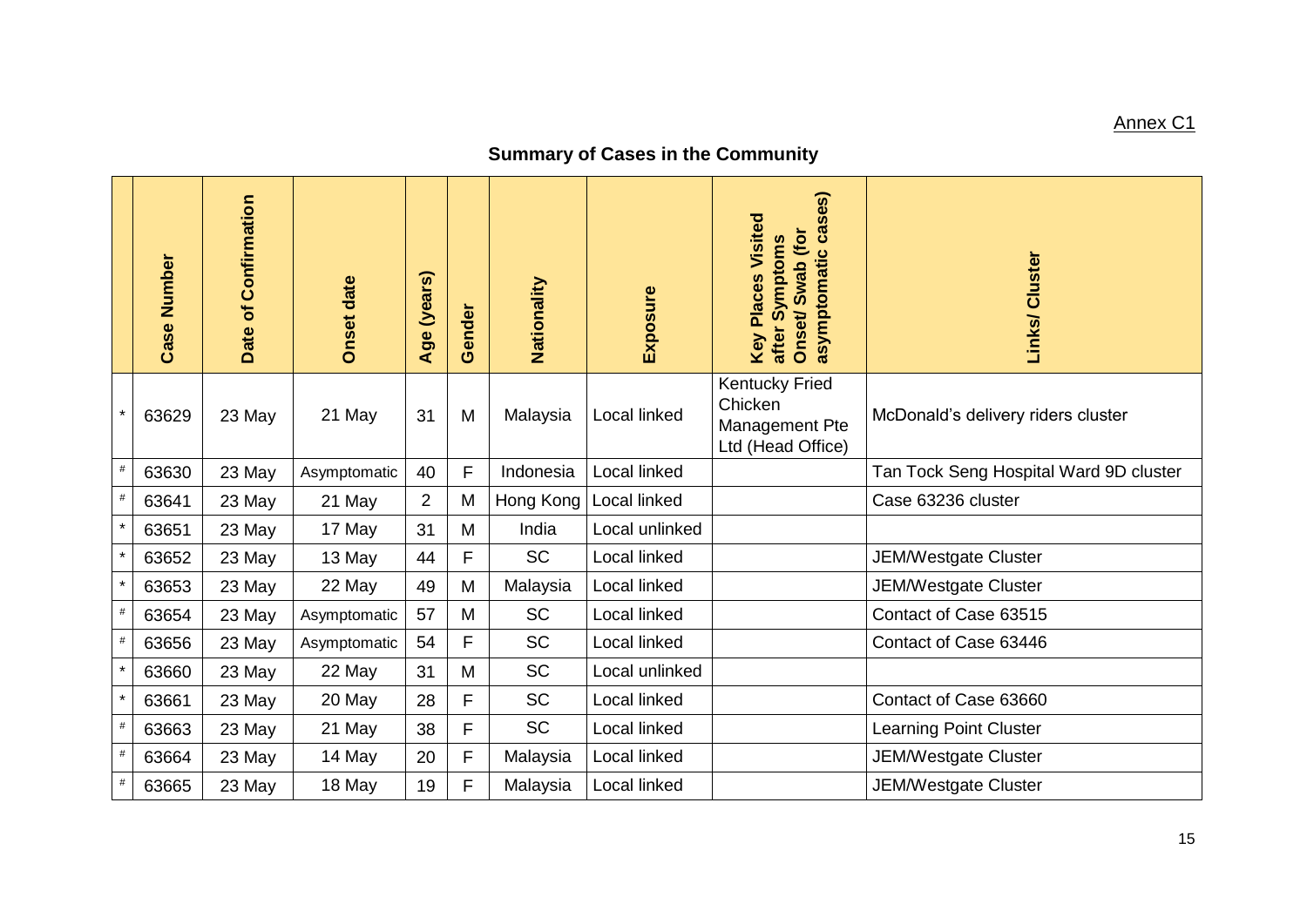Annex C1

# **Summary of Cases in the Community**

|         | Case Number | Date of Confirmation | <b>Onset date</b> | (years)<br>Age | Gender | Nationality | Exposure       | cases)<br><b>Key Places Visited</b><br>Onset/Swab (for<br>after Symptoms<br>asymptomatic | Links/ Cluster                         |
|---------|-------------|----------------------|-------------------|----------------|--------|-------------|----------------|------------------------------------------------------------------------------------------|----------------------------------------|
|         | 63629       | 23 May               | 21 May            | 31             | M      | Malaysia    | Local linked   | <b>Kentucky Fried</b><br>Chicken<br>Management Pte<br>Ltd (Head Office)                  | McDonald's delivery riders cluster     |
| $\#$    | 63630       | 23 May               | Asymptomatic      | 40             | F      | Indonesia   | Local linked   |                                                                                          | Tan Tock Seng Hospital Ward 9D cluster |
| $\#$    | 63641       | 23 May               | 21 May            | $\overline{2}$ | M      | Hong Kong   | Local linked   |                                                                                          | Case 63236 cluster                     |
| $\star$ | 63651       | 23 May               | 17 May            | 31             | M      | India       | Local unlinked |                                                                                          |                                        |
| $\star$ | 63652       | 23 May               | 13 May            | 44             | F      | <b>SC</b>   | Local linked   |                                                                                          | JEM/Westgate Cluster                   |
|         | 63653       | 23 May               | 22 May            | 49             | M      | Malaysia    | Local linked   |                                                                                          | JEM/Westgate Cluster                   |
| $\#$    | 63654       | 23 May               | Asymptomatic      | 57             | M      | <b>SC</b>   | Local linked   |                                                                                          | Contact of Case 63515                  |
| $\#$    | 63656       | 23 May               | Asymptomatic      | 54             | F      | <b>SC</b>   | Local linked   |                                                                                          | Contact of Case 63446                  |
| $\star$ | 63660       | 23 May               | 22 May            | 31             | M      | <b>SC</b>   | Local unlinked |                                                                                          |                                        |
| $\star$ | 63661       | 23 May               | 20 May            | 28             | F      | <b>SC</b>   | Local linked   |                                                                                          | Contact of Case 63660                  |
| $\#$    | 63663       | 23 May               | 21 May            | 38             | F      | <b>SC</b>   | Local linked   |                                                                                          | Learning Point Cluster                 |
| $\#$    | 63664       | 23 May               | 14 May            | 20             | F      | Malaysia    | Local linked   |                                                                                          | JEM/Westgate Cluster                   |
|         | 63665       | 23 May               | 18 May            | 19             | F      | Malaysia    | Local linked   |                                                                                          | JEM/Westgate Cluster                   |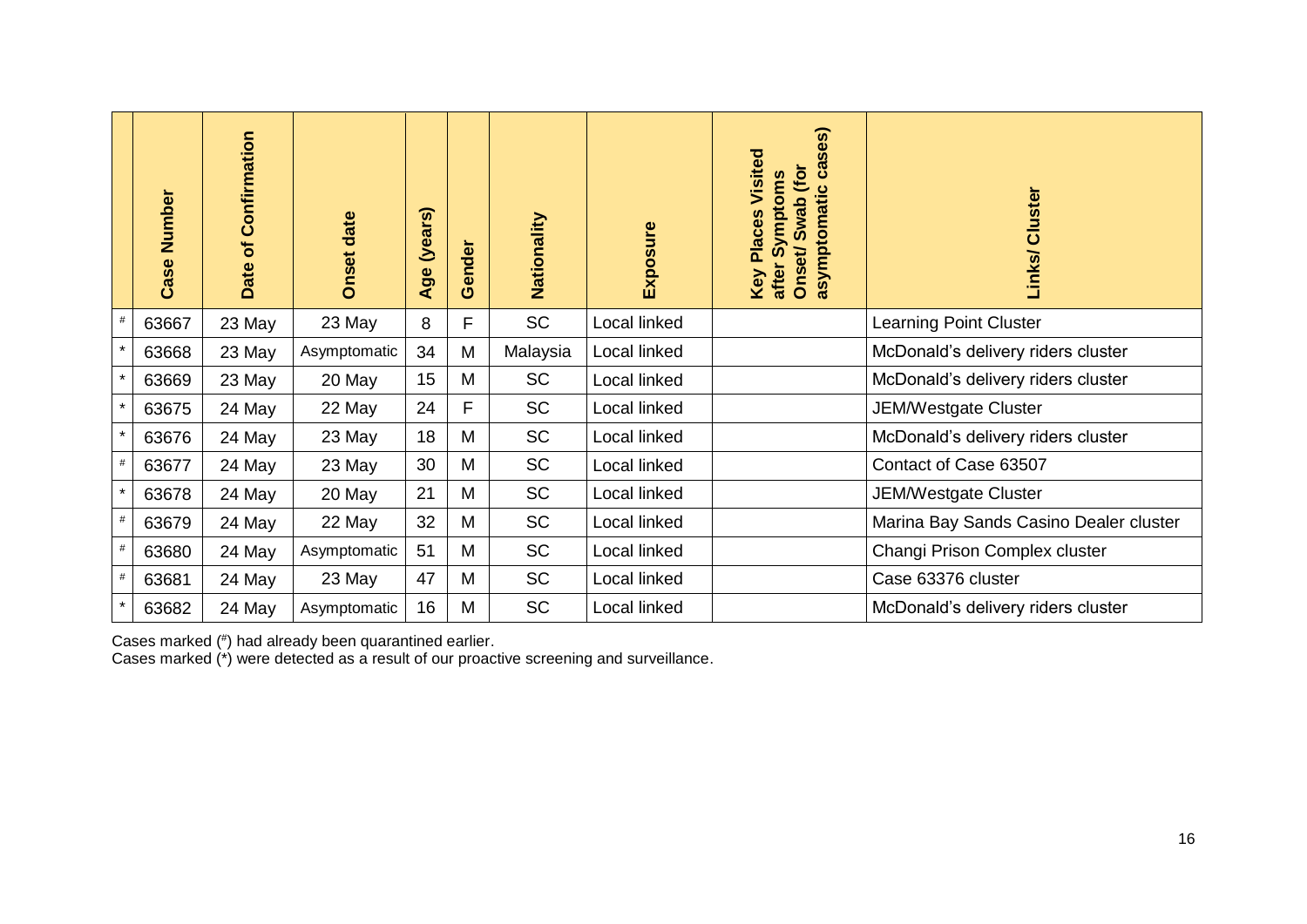|         | Number<br>Case | Confirmation<br>ð<br>Date | <b>Onset date</b> | (years)<br>Age | ender<br>Ğ | Nationality | Exposure     | cases)<br>Visited<br>Swab (for<br>Symptoms<br>asymptomatic<br><b>Places</b><br>Onset<br>after<br>Key | Cluster<br>Links/                      |
|---------|----------------|---------------------------|-------------------|----------------|------------|-------------|--------------|------------------------------------------------------------------------------------------------------|----------------------------------------|
| #       | 63667          | 23 May                    | 23 May            | 8              | F          | <b>SC</b>   | Local linked |                                                                                                      | <b>Learning Point Cluster</b>          |
| $\star$ | 63668          | 23 May                    | Asymptomatic      | 34             | M          | Malaysia    | Local linked |                                                                                                      | McDonald's delivery riders cluster     |
| $\star$ | 63669          | 23 May                    | 20 May            | 15             | M          | <b>SC</b>   | Local linked |                                                                                                      | McDonald's delivery riders cluster     |
| $\star$ | 63675          | 24 May                    | 22 May            | 24             | F          | <b>SC</b>   | Local linked |                                                                                                      | JEM/Westgate Cluster                   |
|         | 63676          | 24 May                    | 23 May            | 18             | M          | <b>SC</b>   | Local linked |                                                                                                      | McDonald's delivery riders cluster     |
|         | 63677          | 24 May                    | 23 May            | 30             | M          | <b>SC</b>   | Local linked |                                                                                                      | Contact of Case 63507                  |
| $\star$ | 63678          | 24 May                    | 20 May            | 21             | M          | <b>SC</b>   | Local linked |                                                                                                      | JEM/Westgate Cluster                   |
| #       | 63679          | 24 May                    | 22 May            | 32             | M          | <b>SC</b>   | Local linked |                                                                                                      | Marina Bay Sands Casino Dealer cluster |
| #       | 63680          | 24 May                    | Asymptomatic      | 51             | M          | <b>SC</b>   | Local linked |                                                                                                      | Changi Prison Complex cluster          |
| #       | 63681          | 24 May                    | 23 May            | 47             | M          | <b>SC</b>   | Local linked |                                                                                                      | Case 63376 cluster                     |
|         | 63682          | 24 May                    | Asymptomatic      | 16             | M          | <b>SC</b>   | Local linked |                                                                                                      | McDonald's delivery riders cluster     |

Cases marked ( # ) had already been quarantined earlier.

Cases marked (\*) were detected as a result of our proactive screening and surveillance.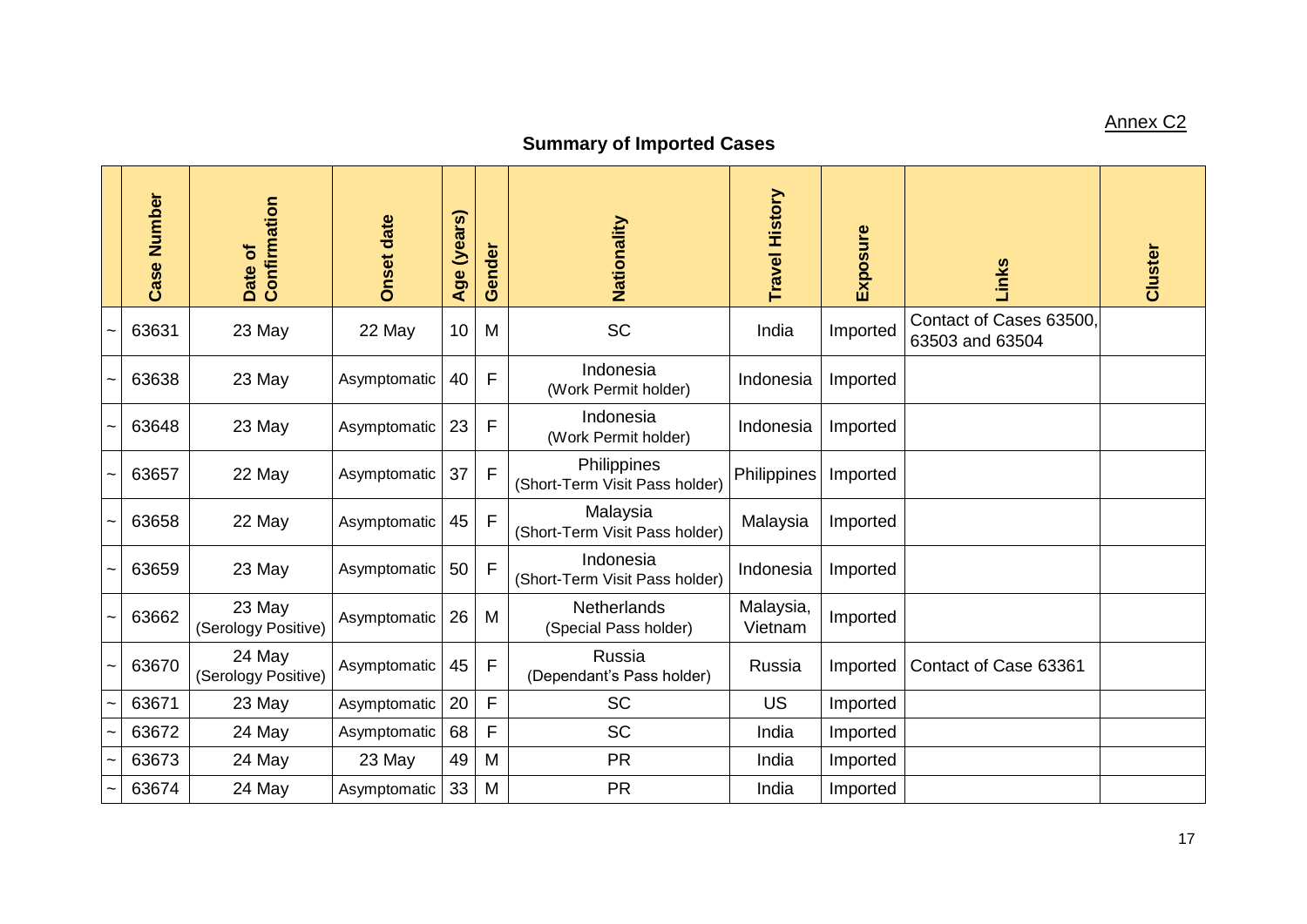# Annex C2

# **Summary of Imported Cases**

| Case Number | Confirmation<br>Date of       | <b>Onset date</b> | (years)<br>Age | Gender       | Nationality                                   | <b>Travel History</b> | Exposure | Links                                      | Cluster |
|-------------|-------------------------------|-------------------|----------------|--------------|-----------------------------------------------|-----------------------|----------|--------------------------------------------|---------|
| 63631       | 23 May                        | 22 May            | 10             | M            | <b>SC</b>                                     | India                 | Imported | Contact of Cases 63500,<br>63503 and 63504 |         |
| 63638       | 23 May                        | Asymptomatic      | 40             | F            | Indonesia<br>(Work Permit holder)             | Indonesia             | Imported |                                            |         |
| 63648       | 23 May                        | Asymptomatic      | 23             | F            | Indonesia<br>(Work Permit holder)             | Indonesia             | Imported |                                            |         |
| 63657       | 22 May                        | Asymptomatic      | 37             | $\mathsf{F}$ | Philippines<br>(Short-Term Visit Pass holder) | Philippines           | Imported |                                            |         |
| 63658       | 22 May                        | Asymptomatic      | 45             | F            | Malaysia<br>(Short-Term Visit Pass holder)    | Malaysia              | Imported |                                            |         |
| 63659       | 23 May                        | Asymptomatic      | 50             | $\mathsf{F}$ | Indonesia<br>(Short-Term Visit Pass holder)   | Indonesia             | Imported |                                            |         |
| 63662       | 23 May<br>(Serology Positive) | Asymptomatic      | 26             | M            | Netherlands<br>(Special Pass holder)          | Malaysia,<br>Vietnam  | Imported |                                            |         |
| 63670       | 24 May<br>(Serology Positive) | Asymptomatic      | 45             | F            | Russia<br>(Dependant's Pass holder)           | Russia                | Imported | Contact of Case 63361                      |         |
| 63671       | 23 May                        | Asymptomatic      | 20             | $\mathsf{F}$ | <b>SC</b>                                     | <b>US</b>             | Imported |                                            |         |
| 63672       | 24 May                        | Asymptomatic      | 68             | F            | <b>SC</b>                                     | India                 | Imported |                                            |         |
| 63673       | 24 May                        | 23 May            | 49             | M            | <b>PR</b>                                     | India                 | Imported |                                            |         |
| 63674       | 24 May                        | Asymptomatic      | 33             | M            | <b>PR</b>                                     | India                 | Imported |                                            |         |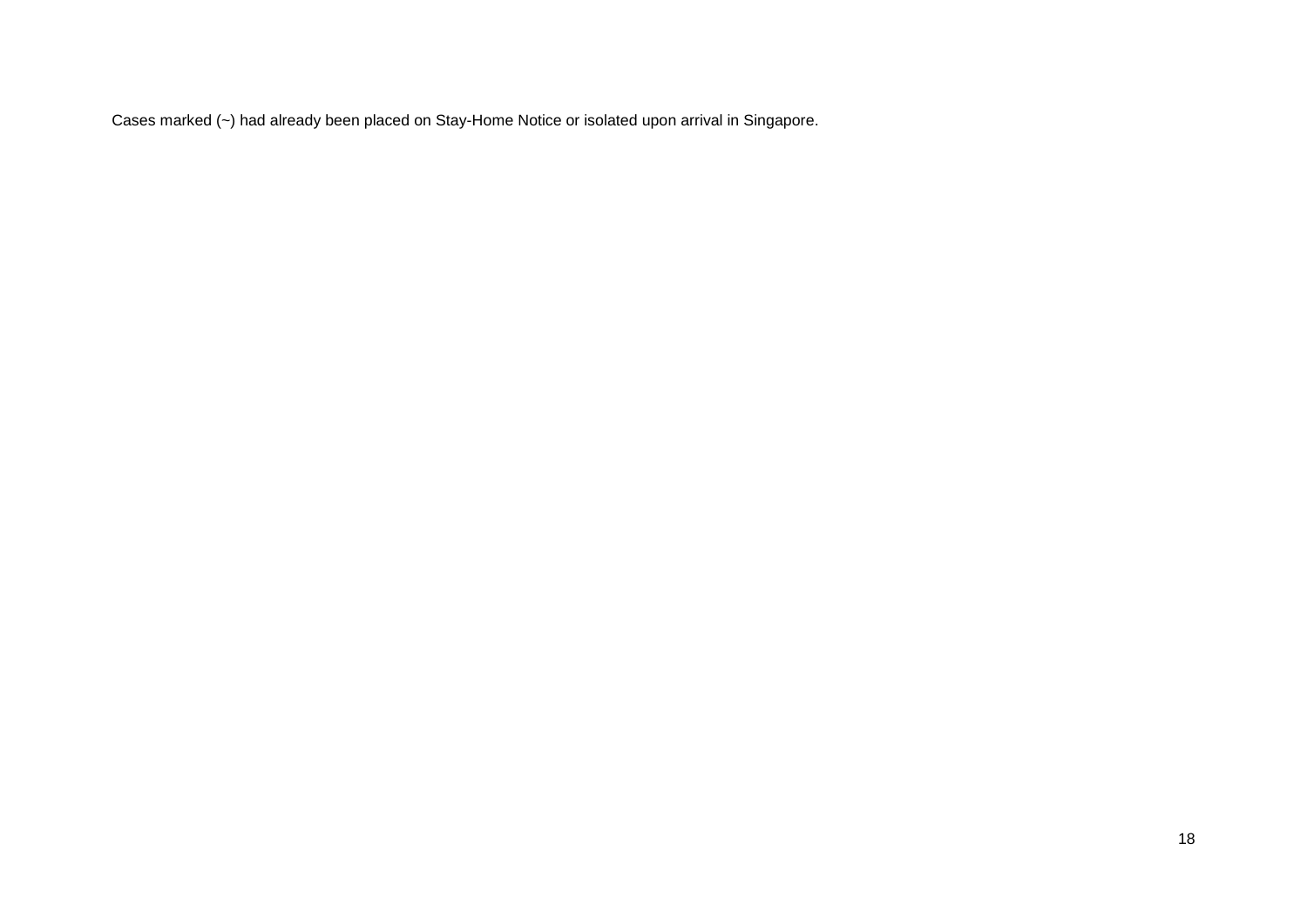Cases marked (~) had already been placed on Stay-Home Notice or isolated upon arrival in Singapore.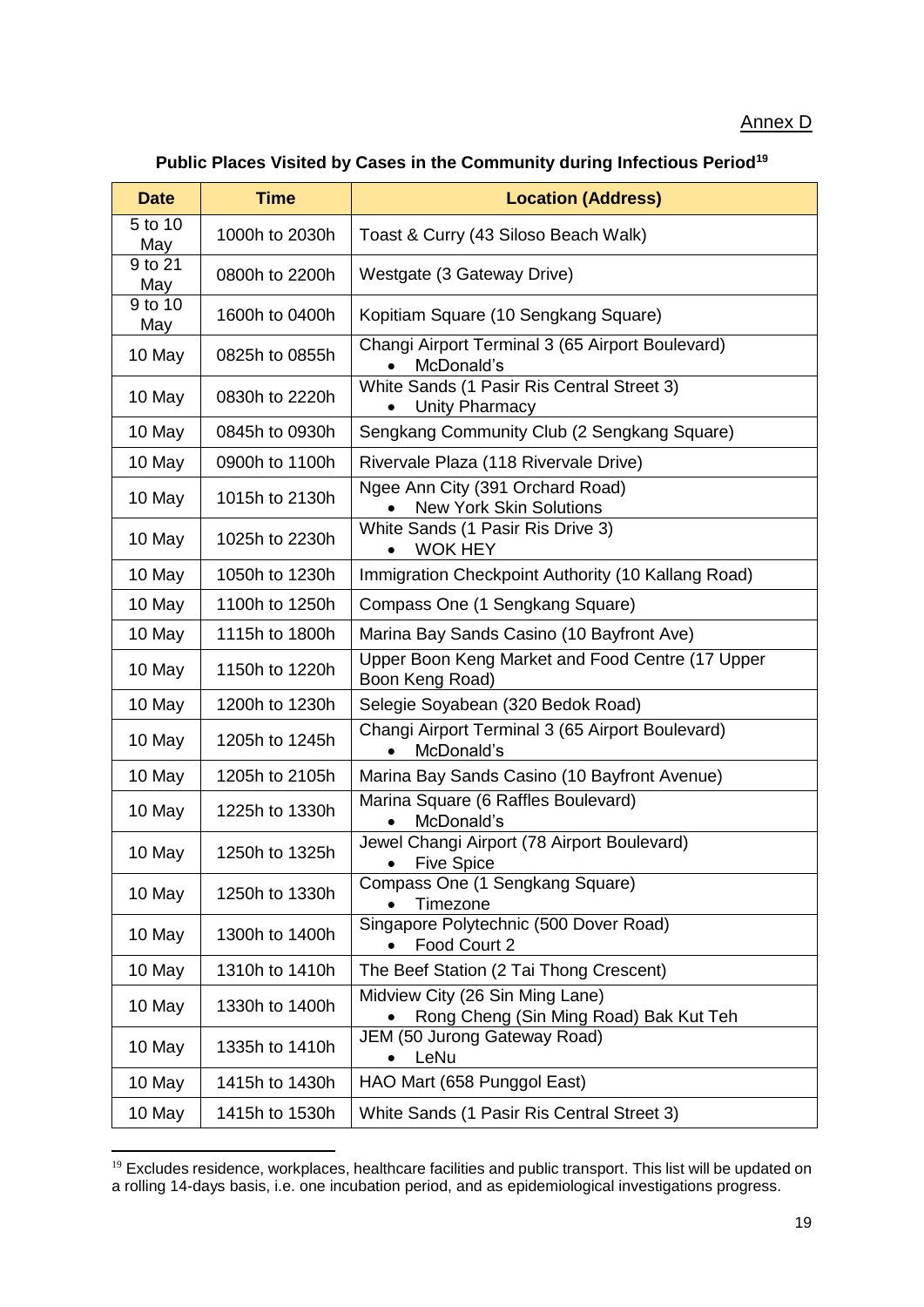| <b>Date</b>    | <b>Time</b>    | <b>Location (Address)</b>                                                 |
|----------------|----------------|---------------------------------------------------------------------------|
| 5 to 10<br>May | 1000h to 2030h | Toast & Curry (43 Siloso Beach Walk)                                      |
| 9 to 21<br>May | 0800h to 2200h | Westgate (3 Gateway Drive)                                                |
| 9 to 10<br>May | 1600h to 0400h | Kopitiam Square (10 Sengkang Square)                                      |
| 10 May         | 0825h to 0855h | Changi Airport Terminal 3 (65 Airport Boulevard)<br>McDonald's            |
| 10 May         | 0830h to 2220h | White Sands (1 Pasir Ris Central Street 3)<br><b>Unity Pharmacy</b>       |
| 10 May         | 0845h to 0930h | Sengkang Community Club (2 Sengkang Square)                               |
| 10 May         | 0900h to 1100h | Rivervale Plaza (118 Rivervale Drive)                                     |
| 10 May         | 1015h to 2130h | Ngee Ann City (391 Orchard Road)<br><b>New York Skin Solutions</b>        |
| 10 May         | 1025h to 2230h | White Sands (1 Pasir Ris Drive 3)<br><b>WOK HEY</b>                       |
| 10 May         | 1050h to 1230h | Immigration Checkpoint Authority (10 Kallang Road)                        |
| 10 May         | 1100h to 1250h | Compass One (1 Sengkang Square)                                           |
| 10 May         | 1115h to 1800h | Marina Bay Sands Casino (10 Bayfront Ave)                                 |
| 10 May         | 1150h to 1220h | Upper Boon Keng Market and Food Centre (17 Upper<br>Boon Keng Road)       |
| 10 May         | 1200h to 1230h | Selegie Soyabean (320 Bedok Road)                                         |
| 10 May         | 1205h to 1245h | Changi Airport Terminal 3 (65 Airport Boulevard)<br>McDonald's            |
| 10 May         | 1205h to 2105h | Marina Bay Sands Casino (10 Bayfront Avenue)                              |
| 10 May         | 1225h to 1330h | Marina Square (6 Raffles Boulevard)<br>McDonald's                         |
| 10 May         | 1250h to 1325h | Jewel Changi Airport (78 Airport Boulevard)<br><b>Five Spice</b><br>٠     |
| 10 May         | 1250h to 1330h | Compass One (1 Sengkang Square)<br>Timezone                               |
| 10 May         | 1300h to 1400h | Singapore Polytechnic (500 Dover Road)<br>Food Court 2                    |
| 10 May         | 1310h to 1410h | The Beef Station (2 Tai Thong Crescent)                                   |
| 10 May         | 1330h to 1400h | Midview City (26 Sin Ming Lane)<br>Rong Cheng (Sin Ming Road) Bak Kut Teh |
| 10 May         | 1335h to 1410h | JEM (50 Jurong Gateway Road)<br>LeNu<br>$\bullet$                         |
| 10 May         | 1415h to 1430h | HAO Mart (658 Punggol East)                                               |
| 10 May         | 1415h to 1530h | White Sands (1 Pasir Ris Central Street 3)                                |

<sup>&</sup>lt;sup>19</sup> Excludes residence, workplaces, healthcare facilities and public transport. This list will be updated on a rolling 14-days basis, i.e. one incubation period, and as epidemiological investigations progress.

**.**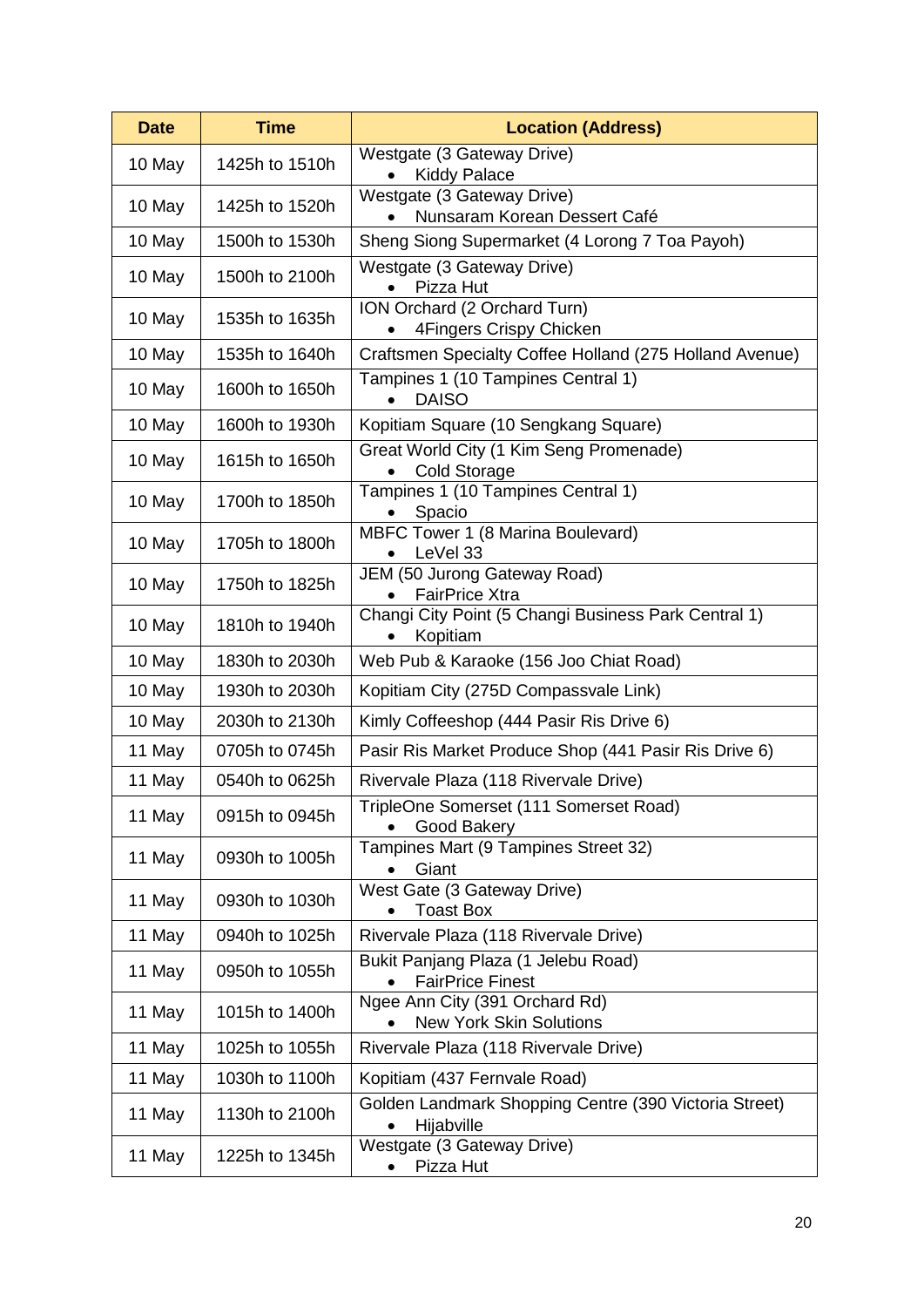| <b>Date</b> | <b>Time</b>    | <b>Location (Address)</b>                                                     |
|-------------|----------------|-------------------------------------------------------------------------------|
| 10 May      | 1425h to 1510h | Westgate (3 Gateway Drive)<br><b>Kiddy Palace</b>                             |
| 10 May      | 1425h to 1520h | Westgate (3 Gateway Drive)<br>Nunsaram Korean Dessert Café                    |
| 10 May      | 1500h to 1530h | Sheng Siong Supermarket (4 Lorong 7 Toa Payoh)                                |
| 10 May      | 1500h to 2100h | Westgate (3 Gateway Drive)<br>Pizza Hut                                       |
| 10 May      | 1535h to 1635h | ION Orchard (2 Orchard Turn)<br>4Fingers Crispy Chicken                       |
| 10 May      | 1535h to 1640h | Craftsmen Specialty Coffee Holland (275 Holland Avenue)                       |
| 10 May      | 1600h to 1650h | Tampines 1 (10 Tampines Central 1)<br><b>DAISO</b>                            |
| 10 May      | 1600h to 1930h | Kopitiam Square (10 Sengkang Square)                                          |
| 10 May      | 1615h to 1650h | Great World City (1 Kim Seng Promenade)<br><b>Cold Storage</b>                |
| 10 May      | 1700h to 1850h | Tampines 1 (10 Tampines Central 1)<br>Spacio                                  |
| 10 May      | 1705h to 1800h | MBFC Tower 1 (8 Marina Boulevard)<br>LeVel 33                                 |
| 10 May      | 1750h to 1825h | JEM (50 Jurong Gateway Road)<br><b>FairPrice Xtra</b>                         |
| 10 May      | 1810h to 1940h | Changi City Point (5 Changi Business Park Central 1)<br>Kopitiam<br>$\bullet$ |
| 10 May      | 1830h to 2030h | Web Pub & Karaoke (156 Joo Chiat Road)                                        |
| 10 May      | 1930h to 2030h | Kopitiam City (275D Compassvale Link)                                         |
| 10 May      | 2030h to 2130h | Kimly Coffeeshop (444 Pasir Ris Drive 6)                                      |
| 11 May      | 0705h to 0745h | Pasir Ris Market Produce Shop (441 Pasir Ris Drive 6)                         |
| 11 May      | 0540h to 0625h | Rivervale Plaza (118 Rivervale Drive)                                         |
| 11 May      | 0915h to 0945h | TripleOne Somerset (111 Somerset Road)<br>Good Bakery                         |
| 11 May      | 0930h to 1005h | Tampines Mart (9 Tampines Street 32)<br>Giant<br>$\bullet$                    |
| 11 May      | 0930h to 1030h | West Gate (3 Gateway Drive)<br><b>Toast Box</b>                               |
| 11 May      | 0940h to 1025h | Rivervale Plaza (118 Rivervale Drive)                                         |
| 11 May      | 0950h to 1055h | Bukit Panjang Plaza (1 Jelebu Road)<br><b>FairPrice Finest</b>                |
| 11 May      | 1015h to 1400h | Ngee Ann City (391 Orchard Rd)<br><b>New York Skin Solutions</b>              |
| 11 May      | 1025h to 1055h | Rivervale Plaza (118 Rivervale Drive)                                         |
| 11 May      | 1030h to 1100h | Kopitiam (437 Fernvale Road)                                                  |
| 11 May      | 1130h to 2100h | Golden Landmark Shopping Centre (390 Victoria Street)<br>Hijabville           |
| 11 May      | 1225h to 1345h | Westgate (3 Gateway Drive)<br>Pizza Hut                                       |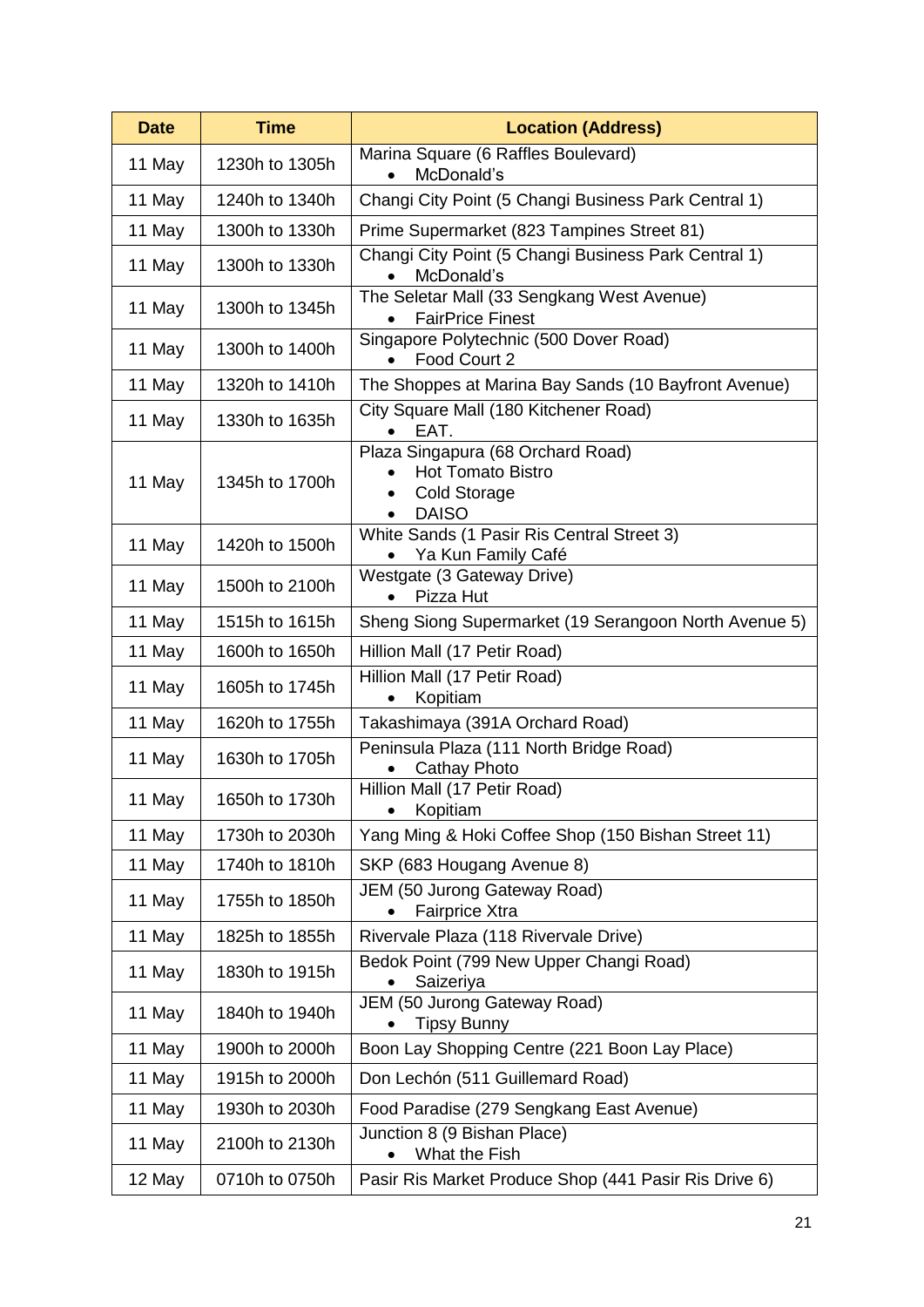| <b>Date</b> | <b>Time</b>    | <b>Location (Address)</b>                                                                            |
|-------------|----------------|------------------------------------------------------------------------------------------------------|
| 11 May      | 1230h to 1305h | Marina Square (6 Raffles Boulevard)<br>McDonald's                                                    |
| 11 May      | 1240h to 1340h | Changi City Point (5 Changi Business Park Central 1)                                                 |
| 11 May      | 1300h to 1330h | Prime Supermarket (823 Tampines Street 81)                                                           |
| 11 May      | 1300h to 1330h | Changi City Point (5 Changi Business Park Central 1)<br>McDonald's<br>$\bullet$                      |
| 11 May      | 1300h to 1345h | The Seletar Mall (33 Sengkang West Avenue)<br><b>FairPrice Finest</b>                                |
| 11 May      | 1300h to 1400h | Singapore Polytechnic (500 Dover Road)<br>Food Court 2                                               |
| 11 May      | 1320h to 1410h | The Shoppes at Marina Bay Sands (10 Bayfront Avenue)                                                 |
| 11 May      | 1330h to 1635h | City Square Mall (180 Kitchener Road)<br>EAT.                                                        |
| 11 May      | 1345h to 1700h | Plaza Singapura (68 Orchard Road)<br><b>Hot Tomato Bistro</b><br><b>Cold Storage</b><br><b>DAISO</b> |
| 11 May      | 1420h to 1500h | White Sands (1 Pasir Ris Central Street 3)<br>Ya Kun Family Café                                     |
| 11 May      | 1500h to 2100h | Westgate (3 Gateway Drive)<br>Pizza Hut                                                              |
| 11 May      | 1515h to 1615h | Sheng Siong Supermarket (19 Serangoon North Avenue 5)                                                |
| 11 May      | 1600h to 1650h | Hillion Mall (17 Petir Road)                                                                         |
| 11 May      | 1605h to 1745h | Hillion Mall (17 Petir Road)<br>Kopitiam                                                             |
| 11 May      | 1620h to 1755h | Takashimaya (391A Orchard Road)                                                                      |
| 11 May      | 1630h to 1705h | Peninsula Plaza (111 North Bridge Road)<br><b>Cathay Photo</b>                                       |
| 11 May      | 1650h to 1730h | Hillion Mall (17 Petir Road)<br>Kopitiam<br>$\bullet$                                                |
| 11 May      | 1730h to 2030h | Yang Ming & Hoki Coffee Shop (150 Bishan Street 11)                                                  |
| 11 May      | 1740h to 1810h | SKP (683 Hougang Avenue 8)                                                                           |
| 11 May      | 1755h to 1850h | JEM (50 Jurong Gateway Road)<br>Fairprice Xtra                                                       |
| 11 May      | 1825h to 1855h | Rivervale Plaza (118 Rivervale Drive)                                                                |
| 11 May      | 1830h to 1915h | Bedok Point (799 New Upper Changi Road)<br>Saizeriya                                                 |
| 11 May      | 1840h to 1940h | JEM (50 Jurong Gateway Road)<br><b>Tipsy Bunny</b>                                                   |
| 11 May      | 1900h to 2000h | Boon Lay Shopping Centre (221 Boon Lay Place)                                                        |
| 11 May      | 1915h to 2000h | Don Lechón (511 Guillemard Road)                                                                     |
| 11 May      | 1930h to 2030h | Food Paradise (279 Sengkang East Avenue)                                                             |
| 11 May      | 2100h to 2130h | Junction 8 (9 Bishan Place)<br>What the Fish                                                         |
| 12 May      | 0710h to 0750h | Pasir Ris Market Produce Shop (441 Pasir Ris Drive 6)                                                |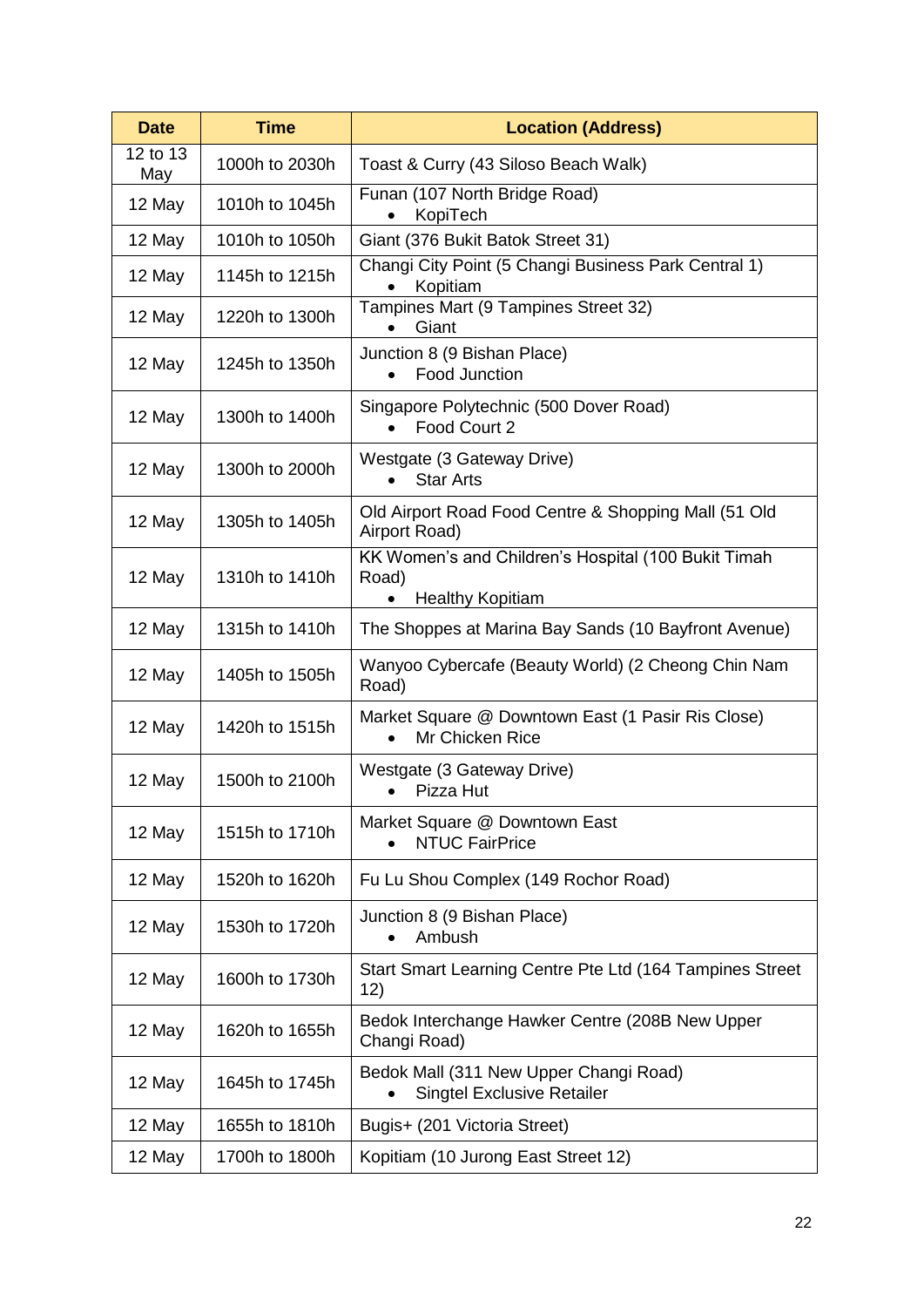| <b>Date</b>     | <b>Time</b>    | <b>Location (Address)</b>                                                                    |
|-----------------|----------------|----------------------------------------------------------------------------------------------|
| 12 to 13<br>May | 1000h to 2030h | Toast & Curry (43 Siloso Beach Walk)                                                         |
| 12 May          | 1010h to 1045h | Funan (107 North Bridge Road)<br>KopiTech                                                    |
| 12 May          | 1010h to 1050h | Giant (376 Bukit Batok Street 31)                                                            |
| 12 May          | 1145h to 1215h | Changi City Point (5 Changi Business Park Central 1)<br>Kopitiam                             |
| 12 May          | 1220h to 1300h | Tampines Mart (9 Tampines Street 32)<br>Giant                                                |
| 12 May          | 1245h to 1350h | Junction 8 (9 Bishan Place)<br><b>Food Junction</b>                                          |
| 12 May          | 1300h to 1400h | Singapore Polytechnic (500 Dover Road)<br>Food Court 2                                       |
| 12 May          | 1300h to 2000h | Westgate (3 Gateway Drive)<br><b>Star Arts</b><br>$\bullet$                                  |
| 12 May          | 1305h to 1405h | Old Airport Road Food Centre & Shopping Mall (51 Old<br>Airport Road)                        |
| 12 May          | 1310h to 1410h | KK Women's and Children's Hospital (100 Bukit Timah<br>Road)<br><b>Healthy Kopitiam</b><br>٠ |
| 12 May          | 1315h to 1410h | The Shoppes at Marina Bay Sands (10 Bayfront Avenue)                                         |
| 12 May          | 1405h to 1505h | Wanyoo Cybercafe (Beauty World) (2 Cheong Chin Nam<br>Road)                                  |
| 12 May          | 1420h to 1515h | Market Square @ Downtown East (1 Pasir Ris Close)<br>Mr Chicken Rice                         |
| 12 May          | 1500h to 2100h | Westgate (3 Gateway Drive)<br>Pizza Hut                                                      |
| 12 May          | 1515h to 1710h | Market Square @ Downtown East<br><b>NTUC FairPrice</b>                                       |
| 12 May          | 1520h to 1620h | Fu Lu Shou Complex (149 Rochor Road)                                                         |
| 12 May          | 1530h to 1720h | Junction 8 (9 Bishan Place)<br>Ambush                                                        |
| 12 May          | 1600h to 1730h | Start Smart Learning Centre Pte Ltd (164 Tampines Street<br>12)                              |
| 12 May          | 1620h to 1655h | Bedok Interchange Hawker Centre (208B New Upper<br>Changi Road)                              |
| 12 May          | 1645h to 1745h | Bedok Mall (311 New Upper Changi Road)<br><b>Singtel Exclusive Retailer</b>                  |
| 12 May          | 1655h to 1810h | Bugis+ (201 Victoria Street)                                                                 |
| 12 May          | 1700h to 1800h | Kopitiam (10 Jurong East Street 12)                                                          |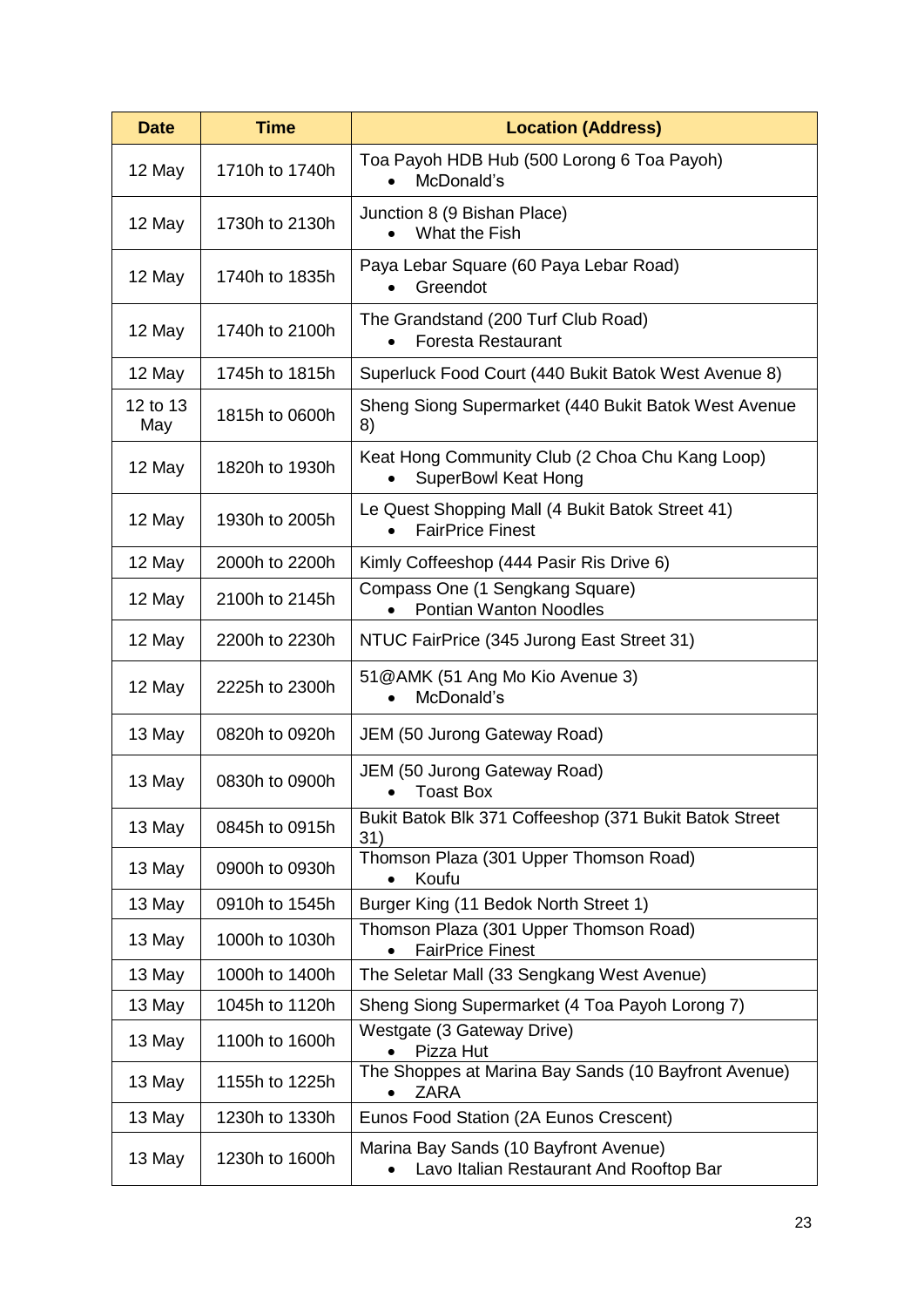| <b>Date</b>     | <b>Time</b>    | <b>Location (Address)</b>                                                        |
|-----------------|----------------|----------------------------------------------------------------------------------|
| 12 May          | 1710h to 1740h | Toa Payoh HDB Hub (500 Lorong 6 Toa Payoh)<br>McDonald's                         |
| 12 May          | 1730h to 2130h | Junction 8 (9 Bishan Place)<br>What the Fish                                     |
| 12 May          | 1740h to 1835h | Paya Lebar Square (60 Paya Lebar Road)<br>Greendot                               |
| 12 May          | 1740h to 2100h | The Grandstand (200 Turf Club Road)<br><b>Foresta Restaurant</b>                 |
| 12 May          | 1745h to 1815h | Superluck Food Court (440 Bukit Batok West Avenue 8)                             |
| 12 to 13<br>May | 1815h to 0600h | Sheng Siong Supermarket (440 Bukit Batok West Avenue<br>8)                       |
| 12 May          | 1820h to 1930h | Keat Hong Community Club (2 Choa Chu Kang Loop)<br><b>SuperBowl Keat Hong</b>    |
| 12 May          | 1930h to 2005h | Le Quest Shopping Mall (4 Bukit Batok Street 41)<br><b>FairPrice Finest</b>      |
| 12 May          | 2000h to 2200h | Kimly Coffeeshop (444 Pasir Ris Drive 6)                                         |
| 12 May          | 2100h to 2145h | Compass One (1 Sengkang Square)<br><b>Pontian Wanton Noodles</b>                 |
| 12 May          | 2200h to 2230h | NTUC FairPrice (345 Jurong East Street 31)                                       |
| 12 May          | 2225h to 2300h | 51@AMK (51 Ang Mo Kio Avenue 3)<br>McDonald's                                    |
| 13 May          | 0820h to 0920h | JEM (50 Jurong Gateway Road)                                                     |
| 13 May          | 0830h to 0900h | JEM (50 Jurong Gateway Road)<br><b>Toast Box</b>                                 |
| 13 May          | 0845h to 0915h | Bukit Batok Blk 371 Coffeeshop (371 Bukit Batok Street<br>31)                    |
| 13 May          | 0900h to 0930h | Thomson Plaza (301 Upper Thomson Road)<br>Koufu                                  |
| 13 May          | 0910h to 1545h | Burger King (11 Bedok North Street 1)                                            |
| 13 May          | 1000h to 1030h | Thomson Plaza (301 Upper Thomson Road)<br><b>FairPrice Finest</b>                |
| 13 May          | 1000h to 1400h | The Seletar Mall (33 Sengkang West Avenue)                                       |
| 13 May          | 1045h to 1120h | Sheng Siong Supermarket (4 Toa Payoh Lorong 7)                                   |
| 13 May          | 1100h to 1600h | Westgate (3 Gateway Drive)<br>Pizza Hut                                          |
| 13 May          | 1155h to 1225h | The Shoppes at Marina Bay Sands (10 Bayfront Avenue)<br><b>ZARA</b>              |
| 13 May          | 1230h to 1330h | Eunos Food Station (2A Eunos Crescent)                                           |
| 13 May          | 1230h to 1600h | Marina Bay Sands (10 Bayfront Avenue)<br>Lavo Italian Restaurant And Rooftop Bar |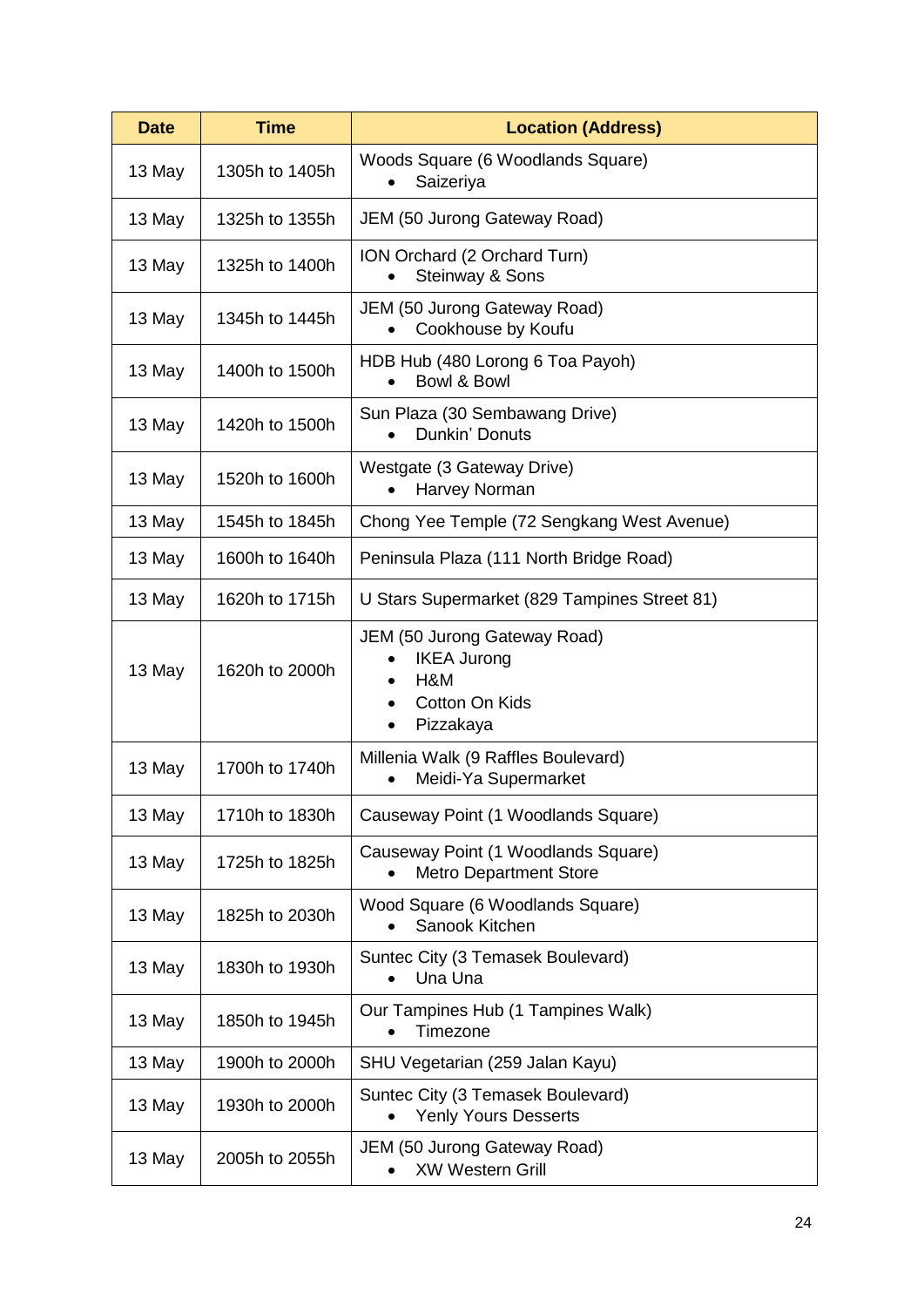| <b>Date</b> | <b>Time</b>    | <b>Location (Address)</b>                                                                |
|-------------|----------------|------------------------------------------------------------------------------------------|
| 13 May      | 1305h to 1405h | Woods Square (6 Woodlands Square)<br>Saizeriya                                           |
| 13 May      | 1325h to 1355h | <b>JEM (50 Jurong Gateway Road)</b>                                                      |
| 13 May      | 1325h to 1400h | ION Orchard (2 Orchard Turn)<br>Steinway & Sons                                          |
| 13 May      | 1345h to 1445h | JEM (50 Jurong Gateway Road)<br>Cookhouse by Koufu                                       |
| 13 May      | 1400h to 1500h | HDB Hub (480 Lorong 6 Toa Payoh)<br>Bowl & Bowl                                          |
| 13 May      | 1420h to 1500h | Sun Plaza (30 Sembawang Drive)<br>Dunkin' Donuts                                         |
| 13 May      | 1520h to 1600h | Westgate (3 Gateway Drive)<br>Harvey Norman                                              |
| 13 May      | 1545h to 1845h | Chong Yee Temple (72 Sengkang West Avenue)                                               |
| 13 May      | 1600h to 1640h | Peninsula Plaza (111 North Bridge Road)                                                  |
| 13 May      | 1620h to 1715h | U Stars Supermarket (829 Tampines Street 81)                                             |
| 13 May      | 1620h to 2000h | JEM (50 Jurong Gateway Road)<br><b>IKEA Jurong</b><br>H&M<br>Cotton On Kids<br>Pizzakaya |
| 13 May      | 1700h to 1740h | Millenia Walk (9 Raffles Boulevard)<br>Meidi-Ya Supermarket                              |
| 13 May      | 1710h to 1830h | Causeway Point (1 Woodlands Square)                                                      |
| 13 May      | 1725h to 1825h | Causeway Point (1 Woodlands Square)<br><b>Metro Department Store</b>                     |
| 13 May      | 1825h to 2030h | Wood Square (6 Woodlands Square)<br>Sanook Kitchen                                       |
| 13 May      | 1830h to 1930h | Suntec City (3 Temasek Boulevard)<br>Una Una                                             |
| 13 May      | 1850h to 1945h | Our Tampines Hub (1 Tampines Walk)<br>Timezone                                           |
| 13 May      | 1900h to 2000h | SHU Vegetarian (259 Jalan Kayu)                                                          |
| 13 May      | 1930h to 2000h | Suntec City (3 Temasek Boulevard)<br><b>Yenly Yours Desserts</b>                         |
| 13 May      | 2005h to 2055h | JEM (50 Jurong Gateway Road)<br><b>XW Western Grill</b>                                  |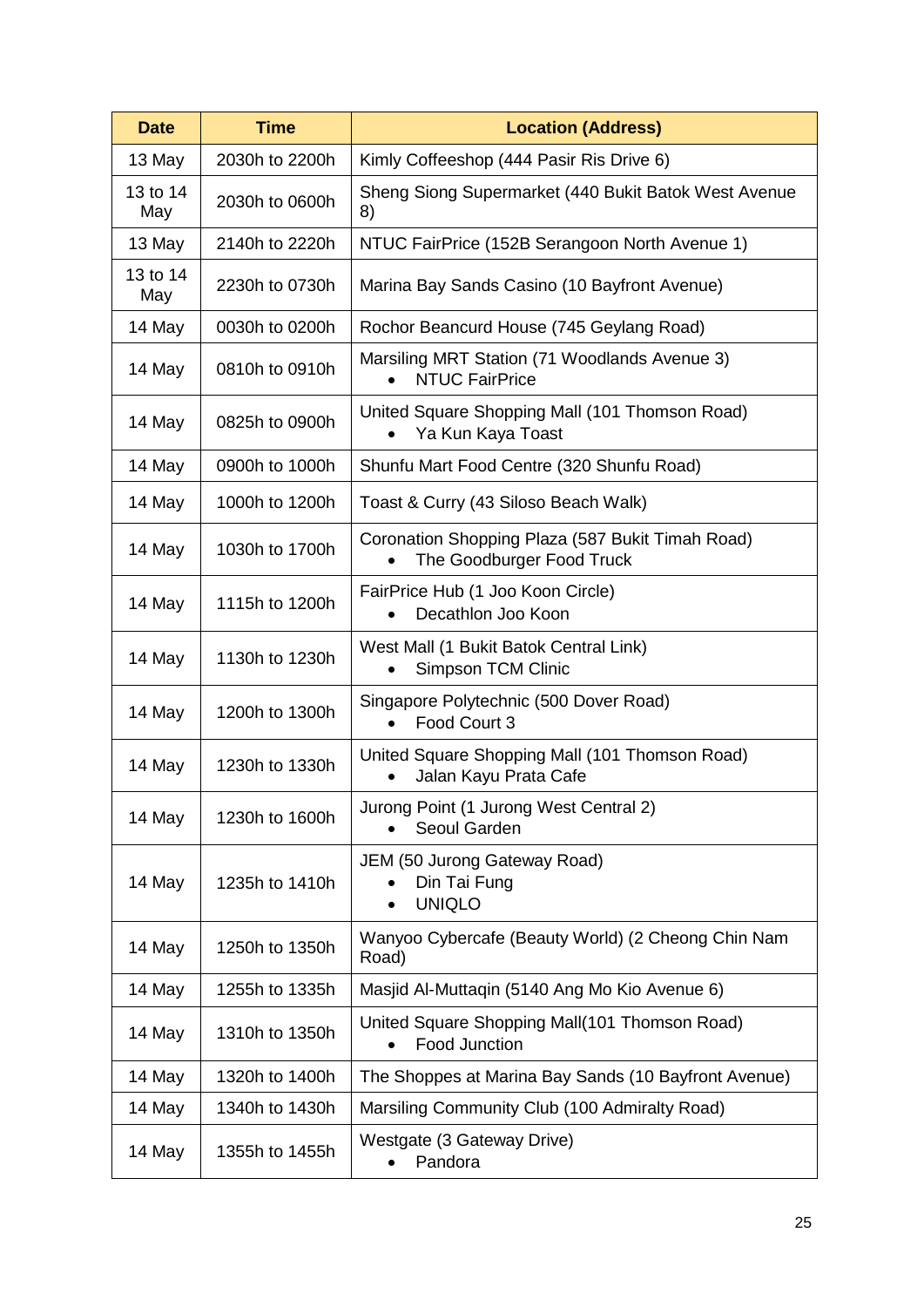| <b>Date</b>     | <b>Time</b>    | <b>Location (Address)</b>                                                     |
|-----------------|----------------|-------------------------------------------------------------------------------|
| 13 May          | 2030h to 2200h | Kimly Coffeeshop (444 Pasir Ris Drive 6)                                      |
| 13 to 14<br>May | 2030h to 0600h | Sheng Siong Supermarket (440 Bukit Batok West Avenue<br>8)                    |
| 13 May          | 2140h to 2220h | NTUC FairPrice (152B Serangoon North Avenue 1)                                |
| 13 to 14<br>May | 2230h to 0730h | Marina Bay Sands Casino (10 Bayfront Avenue)                                  |
| 14 May          | 0030h to 0200h | Rochor Beancurd House (745 Geylang Road)                                      |
| 14 May          | 0810h to 0910h | Marsiling MRT Station (71 Woodlands Avenue 3)<br><b>NTUC FairPrice</b>        |
| 14 May          | 0825h to 0900h | United Square Shopping Mall (101 Thomson Road)<br>Ya Kun Kaya Toast           |
| 14 May          | 0900h to 1000h | Shunfu Mart Food Centre (320 Shunfu Road)                                     |
| 14 May          | 1000h to 1200h | Toast & Curry (43 Siloso Beach Walk)                                          |
| 14 May          | 1030h to 1700h | Coronation Shopping Plaza (587 Bukit Timah Road)<br>The Goodburger Food Truck |
| 14 May          | 1115h to 1200h | FairPrice Hub (1 Joo Koon Circle)<br>Decathlon Joo Koon                       |
| 14 May          | 1130h to 1230h | West Mall (1 Bukit Batok Central Link)<br><b>Simpson TCM Clinic</b>           |
| 14 May          | 1200h to 1300h | Singapore Polytechnic (500 Dover Road)<br>Food Court 3                        |
| 14 May          | 1230h to 1330h | United Square Shopping Mall (101 Thomson Road)<br>Jalan Kayu Prata Cafe       |
| 14 May          | 1230h to 1600h | Jurong Point (1 Jurong West Central 2)<br>Seoul Garden                        |
| 14 May          | 1235h to 1410h | JEM (50 Jurong Gateway Road)<br>Din Tai Fung<br><b>UNIQLO</b>                 |
| 14 May          | 1250h to 1350h | Wanyoo Cybercafe (Beauty World) (2 Cheong Chin Nam<br>Road)                   |
| 14 May          | 1255h to 1335h | Masjid Al-Muttaqin (5140 Ang Mo Kio Avenue 6)                                 |
| 14 May          | 1310h to 1350h | United Square Shopping Mall(101 Thomson Road)<br>Food Junction                |
| 14 May          | 1320h to 1400h | The Shoppes at Marina Bay Sands (10 Bayfront Avenue)                          |
| 14 May          | 1340h to 1430h | Marsiling Community Club (100 Admiralty Road)                                 |
| 14 May          | 1355h to 1455h | Westgate (3 Gateway Drive)<br>Pandora                                         |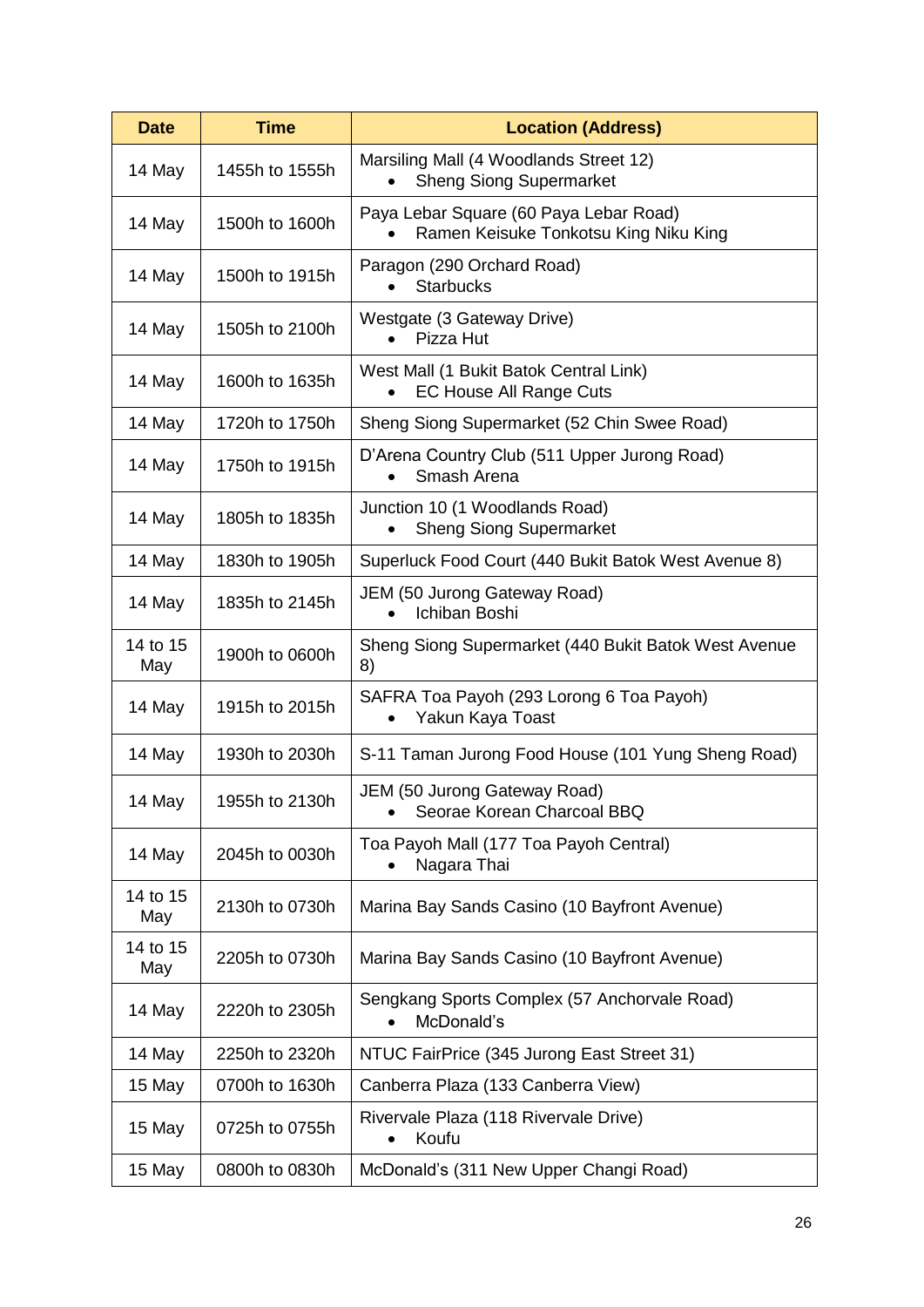| <b>Date</b>     | <b>Time</b>    | <b>Location (Address)</b>                                                       |
|-----------------|----------------|---------------------------------------------------------------------------------|
| 14 May          | 1455h to 1555h | Marsiling Mall (4 Woodlands Street 12)<br><b>Sheng Siong Supermarket</b>        |
| 14 May          | 1500h to 1600h | Paya Lebar Square (60 Paya Lebar Road)<br>Ramen Keisuke Tonkotsu King Niku King |
| 14 May          | 1500h to 1915h | Paragon (290 Orchard Road)<br><b>Starbucks</b>                                  |
| 14 May          | 1505h to 2100h | Westgate (3 Gateway Drive)<br>Pizza Hut<br>$\bullet$                            |
| 14 May          | 1600h to 1635h | West Mall (1 Bukit Batok Central Link)<br><b>EC House All Range Cuts</b>        |
| 14 May          | 1720h to 1750h | Sheng Siong Supermarket (52 Chin Swee Road)                                     |
| 14 May          | 1750h to 1915h | D'Arena Country Club (511 Upper Jurong Road)<br>Smash Arena                     |
| 14 May          | 1805h to 1835h | Junction 10 (1 Woodlands Road)<br><b>Sheng Siong Supermarket</b>                |
| 14 May          | 1830h to 1905h | Superluck Food Court (440 Bukit Batok West Avenue 8)                            |
| 14 May          | 1835h to 2145h | JEM (50 Jurong Gateway Road)<br>Ichiban Boshi                                   |
| 14 to 15<br>May | 1900h to 0600h | Sheng Siong Supermarket (440 Bukit Batok West Avenue<br>8)                      |
| 14 May          | 1915h to 2015h | SAFRA Toa Payoh (293 Lorong 6 Toa Payoh)<br>Yakun Kaya Toast                    |
| 14 May          | 1930h to 2030h | S-11 Taman Jurong Food House (101 Yung Sheng Road)                              |
| 14 May          | 1955h to 2130h | JEM (50 Jurong Gateway Road)<br>Seorae Korean Charcoal BBQ                      |
| 14 May          | 2045h to 0030h | Toa Payoh Mall (177 Toa Payoh Central)<br>Nagara Thai                           |
| 14 to 15<br>May | 2130h to 0730h | Marina Bay Sands Casino (10 Bayfront Avenue)                                    |
| 14 to 15<br>May | 2205h to 0730h | Marina Bay Sands Casino (10 Bayfront Avenue)                                    |
| 14 May          | 2220h to 2305h | Sengkang Sports Complex (57 Anchorvale Road)<br>McDonald's                      |
| 14 May          | 2250h to 2320h | NTUC FairPrice (345 Jurong East Street 31)                                      |
| 15 May          | 0700h to 1630h | Canberra Plaza (133 Canberra View)                                              |
| 15 May          | 0725h to 0755h | Rivervale Plaza (118 Rivervale Drive)<br>Koufu                                  |
| 15 May          | 0800h to 0830h | McDonald's (311 New Upper Changi Road)                                          |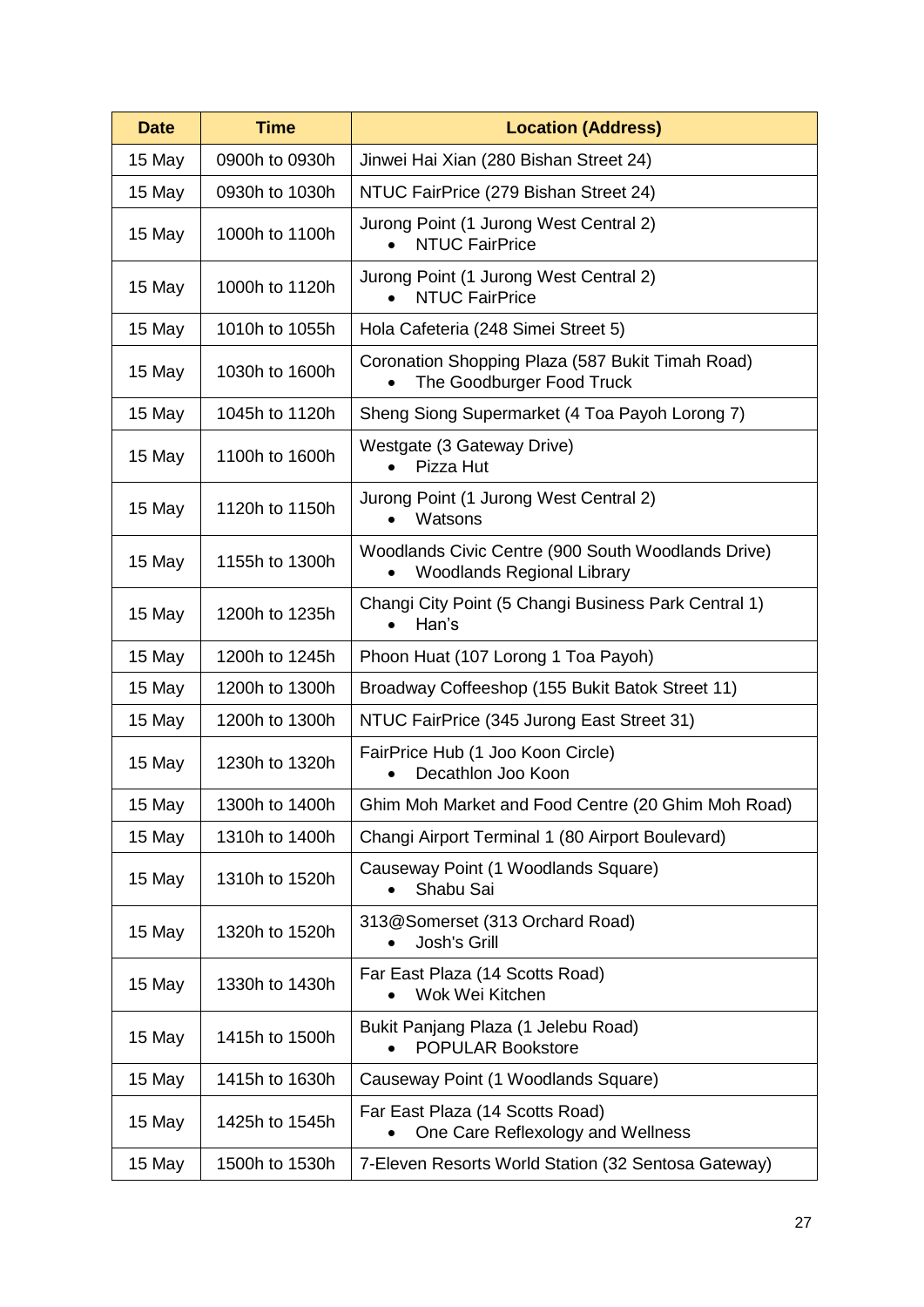| <b>Date</b> | <b>Time</b>    | <b>Location (Address)</b>                                                               |
|-------------|----------------|-----------------------------------------------------------------------------------------|
| 15 May      | 0900h to 0930h | Jinwei Hai Xian (280 Bishan Street 24)                                                  |
| 15 May      | 0930h to 1030h | NTUC FairPrice (279 Bishan Street 24)                                                   |
| 15 May      | 1000h to 1100h | Jurong Point (1 Jurong West Central 2)<br><b>NTUC FairPrice</b><br>$\bullet$            |
| 15 May      | 1000h to 1120h | Jurong Point (1 Jurong West Central 2)<br><b>NTUC FairPrice</b>                         |
| 15 May      | 1010h to 1055h | Hola Cafeteria (248 Simei Street 5)                                                     |
| 15 May      | 1030h to 1600h | Coronation Shopping Plaza (587 Bukit Timah Road)<br>The Goodburger Food Truck           |
| 15 May      | 1045h to 1120h | Sheng Siong Supermarket (4 Toa Payoh Lorong 7)                                          |
| 15 May      | 1100h to 1600h | Westgate (3 Gateway Drive)<br>Pizza Hut                                                 |
| 15 May      | 1120h to 1150h | Jurong Point (1 Jurong West Central 2)<br>Watsons                                       |
| 15 May      | 1155h to 1300h | Woodlands Civic Centre (900 South Woodlands Drive)<br><b>Woodlands Regional Library</b> |
| 15 May      | 1200h to 1235h | Changi City Point (5 Changi Business Park Central 1)<br>Han's                           |
| 15 May      | 1200h to 1245h | Phoon Huat (107 Lorong 1 Toa Payoh)                                                     |
| 15 May      | 1200h to 1300h | Broadway Coffeeshop (155 Bukit Batok Street 11)                                         |
| 15 May      | 1200h to 1300h | NTUC FairPrice (345 Jurong East Street 31)                                              |
| 15 May      | 1230h to 1320h | FairPrice Hub (1 Joo Koon Circle)<br>Decathlon Joo Koon                                 |
| 15 May      | 1300h to 1400h | Ghim Moh Market and Food Centre (20 Ghim Moh Road)                                      |
| 15 May      | 1310h to 1400h | Changi Airport Terminal 1 (80 Airport Boulevard)                                        |
| 15 May      | 1310h to 1520h | Causeway Point (1 Woodlands Square)<br>Shabu Sai                                        |
| 15 May      | 1320h to 1520h | 313@Somerset (313 Orchard Road)<br><b>Josh's Grill</b>                                  |
| 15 May      | 1330h to 1430h | Far East Plaza (14 Scotts Road)<br>Wok Wei Kitchen                                      |
| 15 May      | 1415h to 1500h | Bukit Panjang Plaza (1 Jelebu Road)<br><b>POPULAR Bookstore</b>                         |
| 15 May      | 1415h to 1630h | Causeway Point (1 Woodlands Square)                                                     |
| 15 May      | 1425h to 1545h | Far East Plaza (14 Scotts Road)<br>One Care Reflexology and Wellness                    |
| 15 May      | 1500h to 1530h | 7-Eleven Resorts World Station (32 Sentosa Gateway)                                     |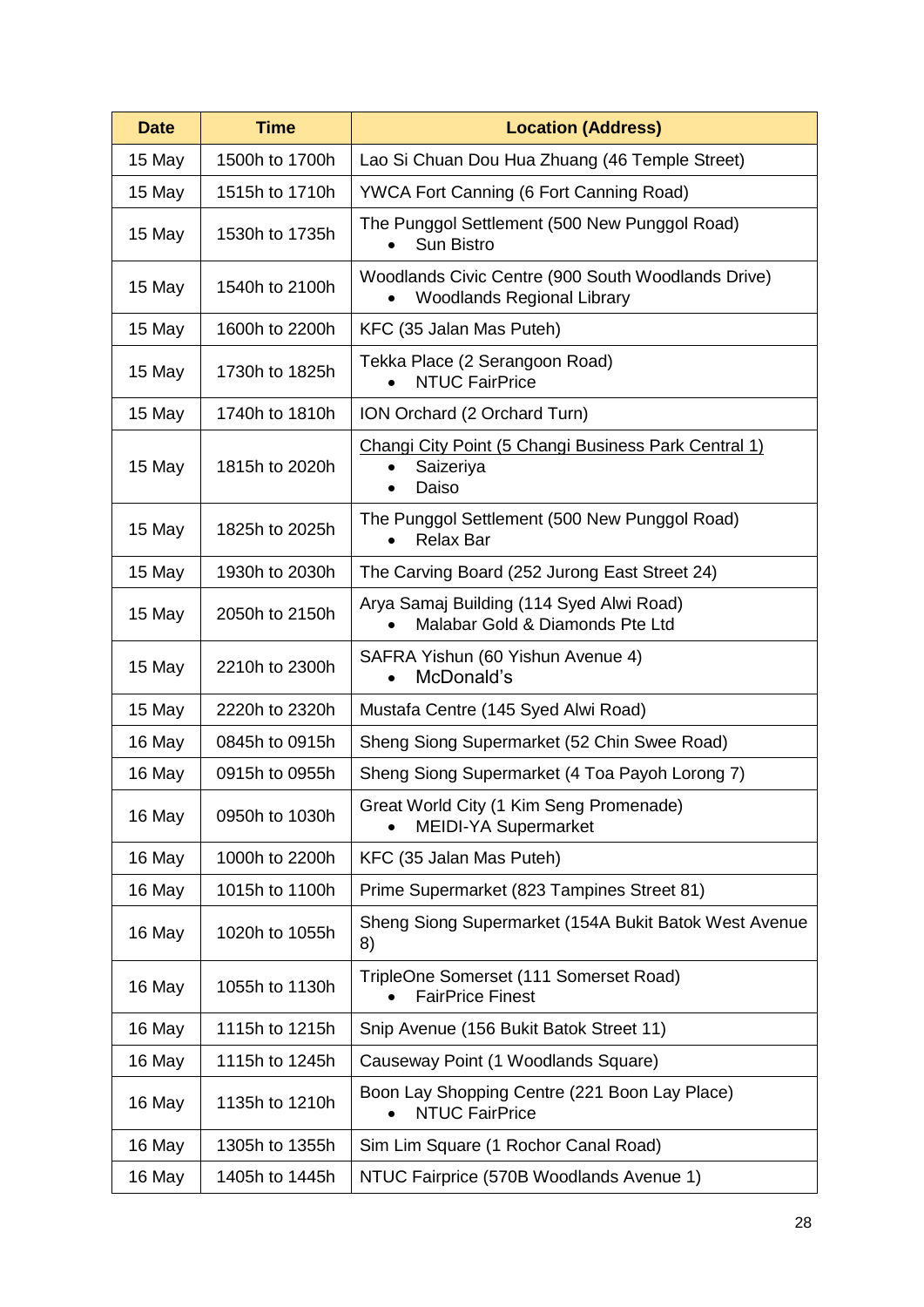| <b>Date</b> | <b>Time</b>    | <b>Location (Address)</b>                                                               |
|-------------|----------------|-----------------------------------------------------------------------------------------|
| 15 May      | 1500h to 1700h | Lao Si Chuan Dou Hua Zhuang (46 Temple Street)                                          |
| 15 May      | 1515h to 1710h | <b>YWCA Fort Canning (6 Fort Canning Road)</b>                                          |
| 15 May      | 1530h to 1735h | The Punggol Settlement (500 New Punggol Road)<br><b>Sun Bistro</b>                      |
| 15 May      | 1540h to 2100h | Woodlands Civic Centre (900 South Woodlands Drive)<br><b>Woodlands Regional Library</b> |
| 15 May      | 1600h to 2200h | KFC (35 Jalan Mas Puteh)                                                                |
| 15 May      | 1730h to 1825h | Tekka Place (2 Serangoon Road)<br><b>NTUC FairPrice</b>                                 |
| 15 May      | 1740h to 1810h | ION Orchard (2 Orchard Turn)                                                            |
| 15 May      | 1815h to 2020h | Changi City Point (5 Changi Business Park Central 1)<br>Saizeriya<br>Daiso<br>$\bullet$ |
| 15 May      | 1825h to 2025h | The Punggol Settlement (500 New Punggol Road)<br><b>Relax Bar</b>                       |
| 15 May      | 1930h to 2030h | The Carving Board (252 Jurong East Street 24)                                           |
| 15 May      | 2050h to 2150h | Arya Samaj Building (114 Syed Alwi Road)<br>Malabar Gold & Diamonds Pte Ltd             |
| 15 May      | 2210h to 2300h | SAFRA Yishun (60 Yishun Avenue 4)<br>McDonald's                                         |
| 15 May      | 2220h to 2320h | Mustafa Centre (145 Syed Alwi Road)                                                     |
| 16 May      | 0845h to 0915h | Sheng Siong Supermarket (52 Chin Swee Road)                                             |
| 16 May      | 0915h to 0955h | Sheng Siong Supermarket (4 Toa Payoh Lorong 7)                                          |
| 16 May      | 0950h to 1030h | Great World City (1 Kim Seng Promenade)<br>MEIDI-YA Supermarket                         |
| 16 May      | 1000h to 2200h | KFC (35 Jalan Mas Puteh)                                                                |
| 16 May      | 1015h to 1100h | Prime Supermarket (823 Tampines Street 81)                                              |
| 16 May      | 1020h to 1055h | Sheng Siong Supermarket (154A Bukit Batok West Avenue<br>8)                             |
| 16 May      | 1055h to 1130h | TripleOne Somerset (111 Somerset Road)<br><b>FairPrice Finest</b>                       |
| 16 May      | 1115h to 1215h | Snip Avenue (156 Bukit Batok Street 11)                                                 |
| 16 May      | 1115h to 1245h | Causeway Point (1 Woodlands Square)                                                     |
| 16 May      | 1135h to 1210h | Boon Lay Shopping Centre (221 Boon Lay Place)<br><b>NTUC FairPrice</b>                  |
| 16 May      | 1305h to 1355h | Sim Lim Square (1 Rochor Canal Road)                                                    |
| 16 May      | 1405h to 1445h | NTUC Fairprice (570B Woodlands Avenue 1)                                                |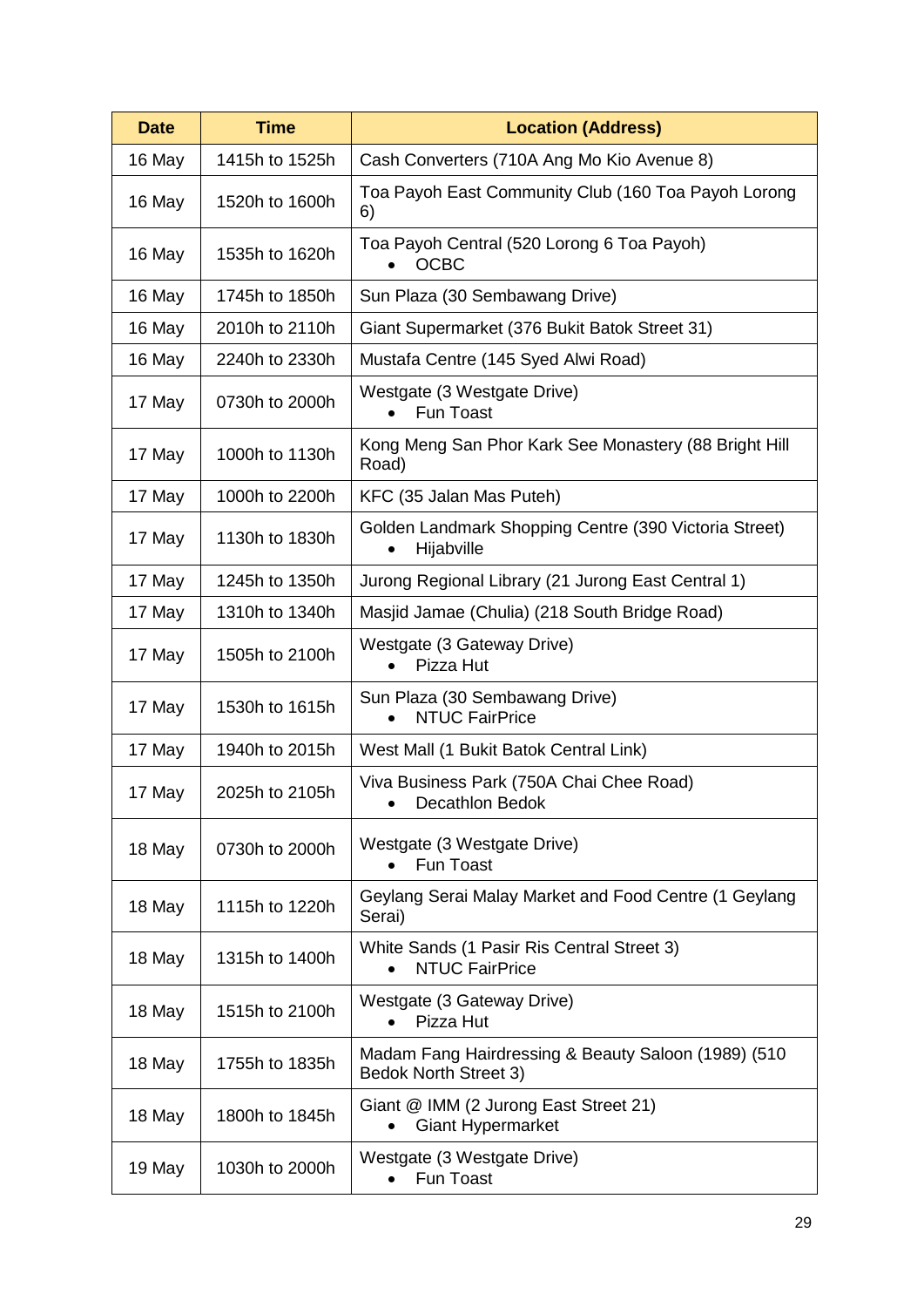| <b>Date</b> | <b>Time</b>    | <b>Location (Address)</b>                                                           |
|-------------|----------------|-------------------------------------------------------------------------------------|
| 16 May      | 1415h to 1525h | Cash Converters (710A Ang Mo Kio Avenue 8)                                          |
| 16 May      | 1520h to 1600h | Toa Payoh East Community Club (160 Toa Payoh Lorong<br>6)                           |
| 16 May      | 1535h to 1620h | Toa Payoh Central (520 Lorong 6 Toa Payoh)<br><b>OCBC</b>                           |
| 16 May      | 1745h to 1850h | Sun Plaza (30 Sembawang Drive)                                                      |
| 16 May      | 2010h to 2110h | Giant Supermarket (376 Bukit Batok Street 31)                                       |
| 16 May      | 2240h to 2330h | Mustafa Centre (145 Syed Alwi Road)                                                 |
| 17 May      | 0730h to 2000h | Westgate (3 Westgate Drive)<br><b>Fun Toast</b>                                     |
| 17 May      | 1000h to 1130h | Kong Meng San Phor Kark See Monastery (88 Bright Hill<br>Road)                      |
| 17 May      | 1000h to 2200h | KFC (35 Jalan Mas Puteh)                                                            |
| 17 May      | 1130h to 1830h | Golden Landmark Shopping Centre (390 Victoria Street)<br>Hijabville                 |
| 17 May      | 1245h to 1350h | Jurong Regional Library (21 Jurong East Central 1)                                  |
| 17 May      | 1310h to 1340h | Masjid Jamae (Chulia) (218 South Bridge Road)                                       |
| 17 May      | 1505h to 2100h | Westgate (3 Gateway Drive)<br>Pizza Hut                                             |
| 17 May      | 1530h to 1615h | Sun Plaza (30 Sembawang Drive)<br><b>NTUC FairPrice</b>                             |
| 17 May      | 1940h to 2015h | West Mall (1 Bukit Batok Central Link)                                              |
| 17 May      | 2025h to 2105h | Viva Business Park (750A Chai Chee Road)<br>Decathlon Bedok<br>٠                    |
| 18 May      | 0730h to 2000h | Westgate (3 Westgate Drive)<br>Fun Toast                                            |
| 18 May      | 1115h to 1220h | Geylang Serai Malay Market and Food Centre (1 Geylang<br>Serai)                     |
| 18 May      | 1315h to 1400h | White Sands (1 Pasir Ris Central Street 3)<br><b>NTUC FairPrice</b>                 |
| 18 May      | 1515h to 2100h | Westgate (3 Gateway Drive)<br>Pizza Hut                                             |
| 18 May      | 1755h to 1835h | Madam Fang Hairdressing & Beauty Saloon (1989) (510<br><b>Bedok North Street 3)</b> |
| 18 May      | 1800h to 1845h | Giant @ IMM (2 Jurong East Street 21)<br><b>Giant Hypermarket</b>                   |
| 19 May      | 1030h to 2000h | Westgate (3 Westgate Drive)<br>Fun Toast                                            |